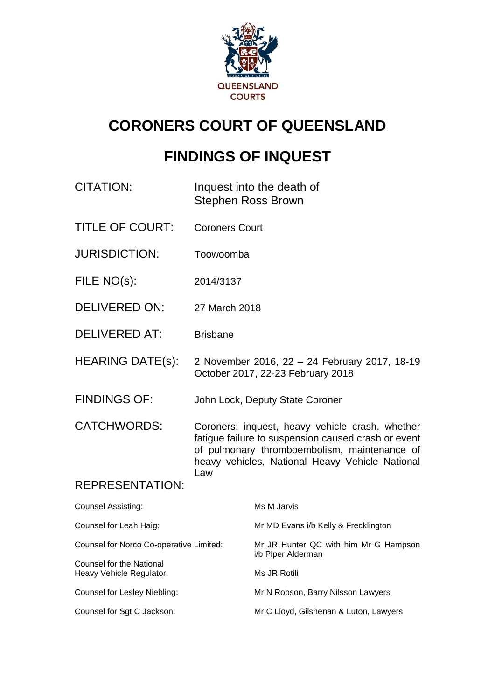

# **CORONERS COURT OF QUEENSLAND**

# **FINDINGS OF INQUEST**

- CITATION: Inquest into the death of Stephen Ross Brown
- TITLE OF COURT: Coroners Court
- JURISDICTION: Toowoomba
- FILE NO(s): 2014/3137
- DELIVERED ON: 27 March 2018
- DELIVERED AT: Brisbane
- HEARING DATE(s): 2 November 2016, 22 24 February 2017, 18-19 October 2017, 22-23 February 2018
- FINDINGS OF: John Lock, Deputy State Coroner

CATCHWORDS: Coroners: inquest, heavy vehicle crash, whether fatigue failure to suspension caused crash or event of pulmonary thromboembolism, maintenance of heavy vehicles, National Heavy Vehicle National Law

## REPRESENTATION:

| <b>Counsel Assisting:</b>                            | Ms M Jarvis                                                 |
|------------------------------------------------------|-------------------------------------------------------------|
| Counsel for Leah Haig:                               | Mr MD Evans i/b Kelly & Frecklington                        |
| Counsel for Norco Co-operative Limited:              | Mr JR Hunter QC with him Mr G Hampson<br>i/b Piper Alderman |
| Counsel for the National<br>Heavy Vehicle Regulator: | Ms JR Rotili                                                |
| Counsel for Lesley Niebling:                         | Mr N Robson, Barry Nilsson Lawyers                          |
| Counsel for Sgt C Jackson:                           | Mr C Lloyd, Gilshenan & Luton, Lawyers                      |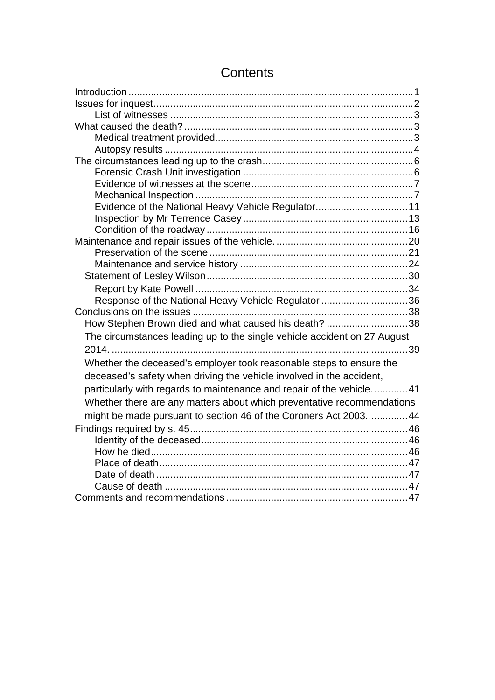| Evidence of the National Heavy Vehicle Regulator 11                      |  |
|--------------------------------------------------------------------------|--|
|                                                                          |  |
|                                                                          |  |
|                                                                          |  |
|                                                                          |  |
|                                                                          |  |
|                                                                          |  |
|                                                                          |  |
| Response of the National Heavy Vehicle Regulator 36                      |  |
|                                                                          |  |
| How Stephen Brown died and what caused his death? 38                     |  |
| The circumstances leading up to the single vehicle accident on 27 August |  |
|                                                                          |  |
| Whether the deceased's employer took reasonable steps to ensure the      |  |
| deceased's safety when driving the vehicle involved in the accident,     |  |
| particularly with regards to maintenance and repair of the vehicle41     |  |
| Whether there are any matters about which preventative recommendations   |  |
|                                                                          |  |
| might be made pursuant to section 46 of the Coroners Act 2003 44         |  |
|                                                                          |  |
|                                                                          |  |
|                                                                          |  |
|                                                                          |  |
|                                                                          |  |
|                                                                          |  |
|                                                                          |  |

# **Contents**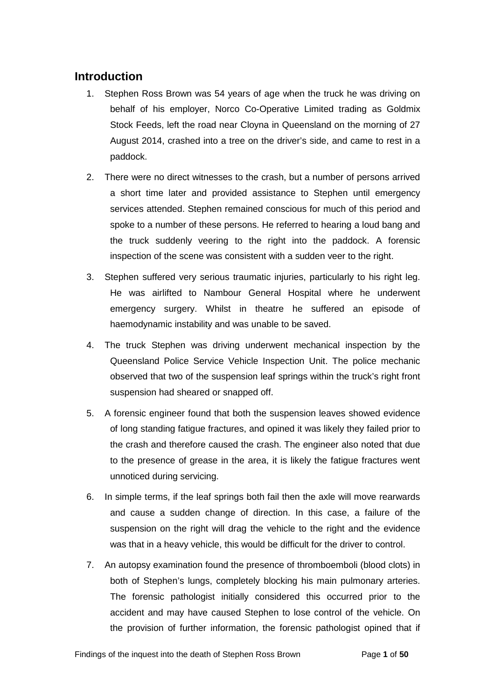# <span id="page-2-0"></span>**Introduction**

- 1. Stephen Ross Brown was 54 years of age when the truck he was driving on behalf of his employer, Norco Co-Operative Limited trading as Goldmix Stock Feeds, left the road near Cloyna in Queensland on the morning of 27 August 2014, crashed into a tree on the driver's side, and came to rest in a paddock.
- 2. There were no direct witnesses to the crash, but a number of persons arrived a short time later and provided assistance to Stephen until emergency services attended. Stephen remained conscious for much of this period and spoke to a number of these persons. He referred to hearing a loud bang and the truck suddenly veering to the right into the paddock. A forensic inspection of the scene was consistent with a sudden veer to the right.
- 3. Stephen suffered very serious traumatic injuries, particularly to his right leg. He was airlifted to Nambour General Hospital where he underwent emergency surgery. Whilst in theatre he suffered an episode of haemodynamic instability and was unable to be saved.
- 4. The truck Stephen was driving underwent mechanical inspection by the Queensland Police Service Vehicle Inspection Unit. The police mechanic observed that two of the suspension leaf springs within the truck's right front suspension had sheared or snapped off.
- 5. A forensic engineer found that both the suspension leaves showed evidence of long standing fatigue fractures, and opined it was likely they failed prior to the crash and therefore caused the crash. The engineer also noted that due to the presence of grease in the area, it is likely the fatigue fractures went unnoticed during servicing.
- 6. In simple terms, if the leaf springs both fail then the axle will move rearwards and cause a sudden change of direction. In this case, a failure of the suspension on the right will drag the vehicle to the right and the evidence was that in a heavy vehicle, this would be difficult for the driver to control.
- 7. An autopsy examination found the presence of thromboemboli (blood clots) in both of Stephen's lungs, completely blocking his main pulmonary arteries. The forensic pathologist initially considered this occurred prior to the accident and may have caused Stephen to lose control of the vehicle. On the provision of further information, the forensic pathologist opined that if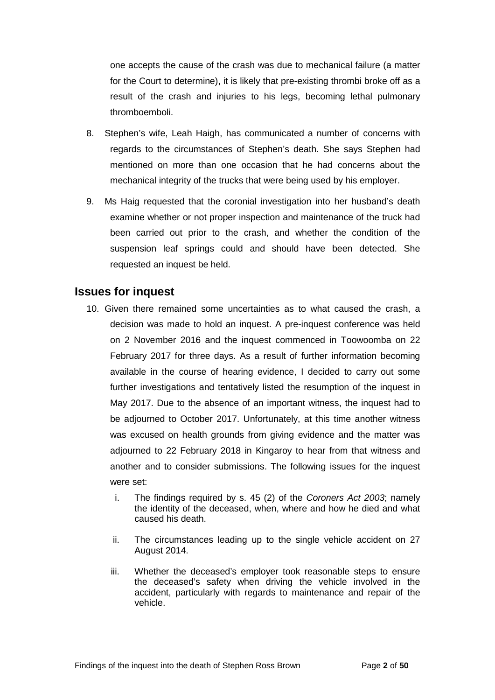one accepts the cause of the crash was due to mechanical failure (a matter for the Court to determine), it is likely that pre-existing thrombi broke off as a result of the crash and injuries to his legs, becoming lethal pulmonary thromboemboli.

- 8. Stephen's wife, Leah Haigh, has communicated a number of concerns with regards to the circumstances of Stephen's death. She says Stephen had mentioned on more than one occasion that he had concerns about the mechanical integrity of the trucks that were being used by his employer.
- 9. Ms Haig requested that the coronial investigation into her husband's death examine whether or not proper inspection and maintenance of the truck had been carried out prior to the crash, and whether the condition of the suspension leaf springs could and should have been detected. She requested an inquest be held.

## <span id="page-3-0"></span>**Issues for inquest**

- 10. Given there remained some uncertainties as to what caused the crash, a decision was made to hold an inquest. A pre-inquest conference was held on 2 November 2016 and the inquest commenced in Toowoomba on 22 February 2017 for three days. As a result of further information becoming available in the course of hearing evidence, I decided to carry out some further investigations and tentatively listed the resumption of the inquest in May 2017. Due to the absence of an important witness, the inquest had to be adjourned to October 2017. Unfortunately, at this time another witness was excused on health grounds from giving evidence and the matter was adjourned to 22 February 2018 in Kingaroy to hear from that witness and another and to consider submissions. The following issues for the inquest were set:
	- i. The findings required by s. 45 (2) of the *Coroners Act 2003*; namely the identity of the deceased, when, where and how he died and what caused his death.
	- ii. The circumstances leading up to the single vehicle accident on 27 August 2014.
	- iii. Whether the deceased's employer took reasonable steps to ensure the deceased's safety when driving the vehicle involved in the accident, particularly with regards to maintenance and repair of the vehicle.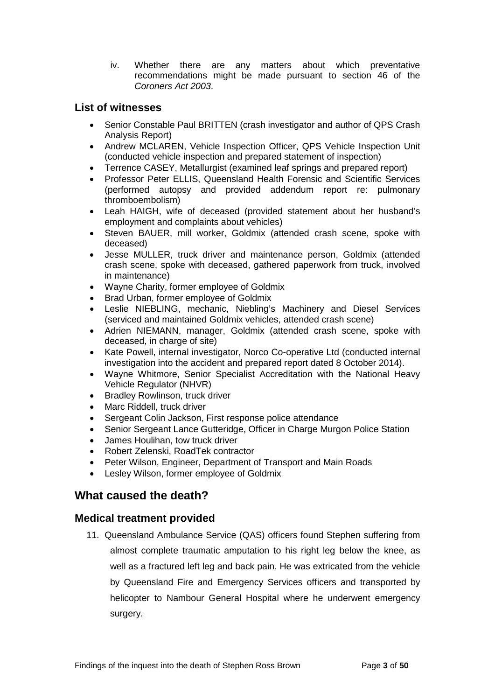iv. Whether there are any matters about which preventative recommendations might be made pursuant to section 46 of the *Coroners Act 2003*.

### <span id="page-4-0"></span>**List of witnesses**

- Senior Constable Paul BRITTEN (crash investigator and author of QPS Crash Analysis Report)
- Andrew MCLAREN, Vehicle Inspection Officer, QPS Vehicle Inspection Unit (conducted vehicle inspection and prepared statement of inspection)
- Terrence CASEY, Metallurgist (examined leaf springs and prepared report)
- Professor Peter ELLIS, Queensland Health Forensic and Scientific Services (performed autopsy and provided addendum report re: pulmonary thromboembolism)
- Leah HAIGH, wife of deceased (provided statement about her husband's employment and complaints about vehicles)
- Steven BAUER, mill worker, Goldmix (attended crash scene, spoke with deceased)
- Jesse MULLER, truck driver and maintenance person, Goldmix (attended crash scene, spoke with deceased, gathered paperwork from truck, involved in maintenance)
- Wayne Charity, former employee of Goldmix
- Brad Urban, former employee of Goldmix
- Leslie NIEBLING, mechanic, Niebling's Machinery and Diesel Services (serviced and maintained Goldmix vehicles, attended crash scene)
- Adrien NIEMANN, manager, Goldmix (attended crash scene, spoke with deceased, in charge of site)
- Kate Powell, internal investigator, Norco Co-operative Ltd (conducted internal investigation into the accident and prepared report dated 8 October 2014).
- Wayne Whitmore, Senior Specialist Accreditation with the National Heavy Vehicle Regulator (NHVR)
- Bradley Rowlinson, truck driver
- Marc Riddell, truck driver
- Sergeant Colin Jackson, First response police attendance
- Senior Sergeant Lance Gutteridge, Officer in Charge Murgon Police Station
- James Houlihan, tow truck driver
- Robert Zelenski, RoadTek contractor
- Peter Wilson, Engineer, Department of Transport and Main Roads
- Lesley Wilson, former employee of Goldmix

## <span id="page-4-1"></span>**What caused the death?**

#### <span id="page-4-2"></span>**Medical treatment provided**

11. Queensland Ambulance Service (QAS) officers found Stephen suffering from almost complete traumatic amputation to his right leg below the knee, as well as a fractured left leg and back pain. He was extricated from the vehicle by Queensland Fire and Emergency Services officers and transported by helicopter to Nambour General Hospital where he underwent emergency surgery.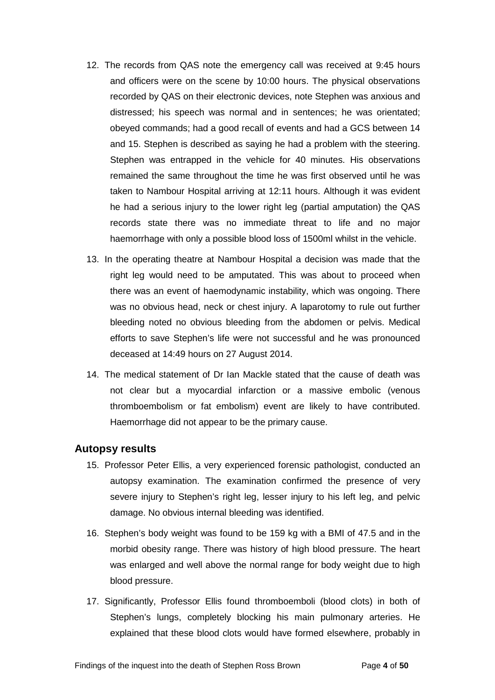- 12. The records from QAS note the emergency call was received at 9:45 hours and officers were on the scene by 10:00 hours. The physical observations recorded by QAS on their electronic devices, note Stephen was anxious and distressed; his speech was normal and in sentences; he was orientated; obeyed commands; had a good recall of events and had a GCS between 14 and 15. Stephen is described as saying he had a problem with the steering. Stephen was entrapped in the vehicle for 40 minutes. His observations remained the same throughout the time he was first observed until he was taken to Nambour Hospital arriving at 12:11 hours. Although it was evident he had a serious injury to the lower right leg (partial amputation) the QAS records state there was no immediate threat to life and no major haemorrhage with only a possible blood loss of 1500ml whilst in the vehicle.
- 13. In the operating theatre at Nambour Hospital a decision was made that the right leg would need to be amputated. This was about to proceed when there was an event of haemodynamic instability, which was ongoing. There was no obvious head, neck or chest injury. A laparotomy to rule out further bleeding noted no obvious bleeding from the abdomen or pelvis. Medical efforts to save Stephen's life were not successful and he was pronounced deceased at 14:49 hours on 27 August 2014.
- 14. The medical statement of Dr Ian Mackle stated that the cause of death was not clear but a myocardial infarction or a massive embolic (venous thromboembolism or fat embolism) event are likely to have contributed. Haemorrhage did not appear to be the primary cause.

#### <span id="page-5-0"></span>**Autopsy results**

- 15. Professor Peter Ellis, a very experienced forensic pathologist, conducted an autopsy examination. The examination confirmed the presence of very severe injury to Stephen's right leg, lesser injury to his left leg, and pelvic damage. No obvious internal bleeding was identified.
- 16. Stephen's body weight was found to be 159 kg with a BMI of 47.5 and in the morbid obesity range. There was history of high blood pressure. The heart was enlarged and well above the normal range for body weight due to high blood pressure.
- 17. Significantly, Professor Ellis found thromboemboli (blood clots) in both of Stephen's lungs, completely blocking his main pulmonary arteries. He explained that these blood clots would have formed elsewhere, probably in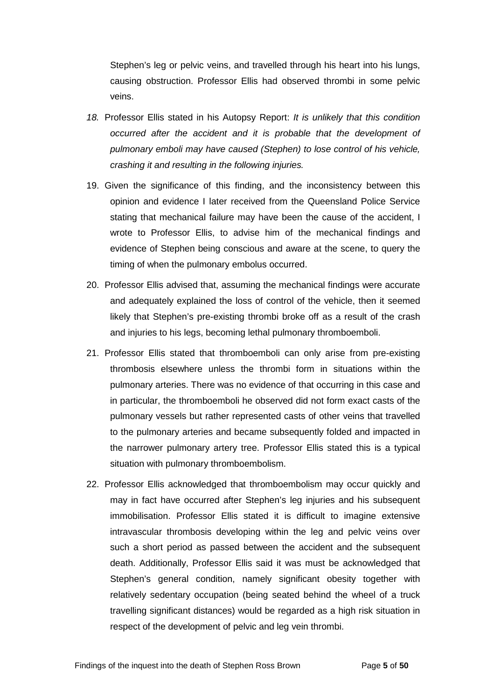Stephen's leg or pelvic veins, and travelled through his heart into his lungs, causing obstruction. Professor Ellis had observed thrombi in some pelvic veins.

- *18.* Professor Ellis stated in his Autopsy Report: *It is unlikely that this condition occurred after the accident and it is probable that the development of pulmonary emboli may have caused (Stephen) to lose control of his vehicle, crashing it and resulting in the following injuries.*
- 19. Given the significance of this finding, and the inconsistency between this opinion and evidence I later received from the Queensland Police Service stating that mechanical failure may have been the cause of the accident, I wrote to Professor Ellis, to advise him of the mechanical findings and evidence of Stephen being conscious and aware at the scene, to query the timing of when the pulmonary embolus occurred.
- 20. Professor Ellis advised that, assuming the mechanical findings were accurate and adequately explained the loss of control of the vehicle, then it seemed likely that Stephen's pre-existing thrombi broke off as a result of the crash and injuries to his legs, becoming lethal pulmonary thromboemboli.
- 21. Professor Ellis stated that thromboemboli can only arise from pre-existing thrombosis elsewhere unless the thrombi form in situations within the pulmonary arteries. There was no evidence of that occurring in this case and in particular, the thromboemboli he observed did not form exact casts of the pulmonary vessels but rather represented casts of other veins that travelled to the pulmonary arteries and became subsequently folded and impacted in the narrower pulmonary artery tree. Professor Ellis stated this is a typical situation with pulmonary thromboembolism.
- 22. Professor Ellis acknowledged that thromboembolism may occur quickly and may in fact have occurred after Stephen's leg injuries and his subsequent immobilisation. Professor Ellis stated it is difficult to imagine extensive intravascular thrombosis developing within the leg and pelvic veins over such a short period as passed between the accident and the subsequent death. Additionally, Professor Ellis said it was must be acknowledged that Stephen's general condition, namely significant obesity together with relatively sedentary occupation (being seated behind the wheel of a truck travelling significant distances) would be regarded as a high risk situation in respect of the development of pelvic and leg vein thrombi.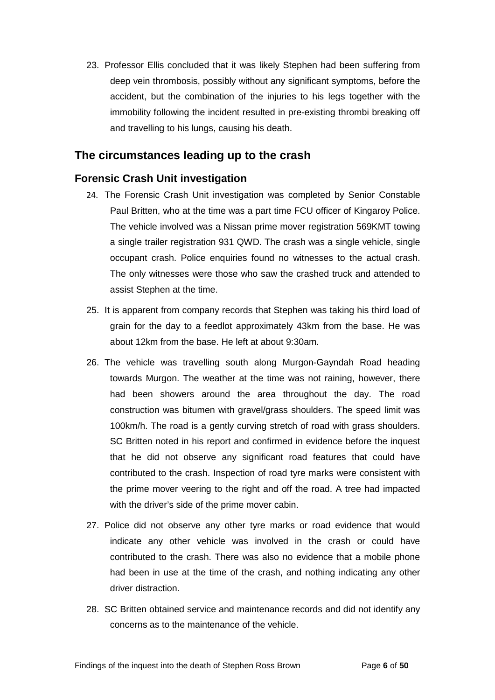23. Professor Ellis concluded that it was likely Stephen had been suffering from deep vein thrombosis, possibly without any significant symptoms, before the accident, but the combination of the injuries to his legs together with the immobility following the incident resulted in pre-existing thrombi breaking off and travelling to his lungs, causing his death.

# <span id="page-7-0"></span>**The circumstances leading up to the crash**

## <span id="page-7-1"></span>**Forensic Crash Unit investigation**

- 24. The Forensic Crash Unit investigation was completed by Senior Constable Paul Britten, who at the time was a part time FCU officer of Kingaroy Police. The vehicle involved was a Nissan prime mover registration 569KMT towing a single trailer registration 931 QWD. The crash was a single vehicle, single occupant crash. Police enquiries found no witnesses to the actual crash. The only witnesses were those who saw the crashed truck and attended to assist Stephen at the time.
- 25. It is apparent from company records that Stephen was taking his third load of grain for the day to a feedlot approximately 43km from the base. He was about 12km from the base. He left at about 9:30am.
- 26. The vehicle was travelling south along Murgon-Gayndah Road heading towards Murgon. The weather at the time was not raining, however, there had been showers around the area throughout the day. The road construction was bitumen with gravel/grass shoulders. The speed limit was 100km/h. The road is a gently curving stretch of road with grass shoulders. SC Britten noted in his report and confirmed in evidence before the inquest that he did not observe any significant road features that could have contributed to the crash. Inspection of road tyre marks were consistent with the prime mover veering to the right and off the road. A tree had impacted with the driver's side of the prime mover cabin.
- 27. Police did not observe any other tyre marks or road evidence that would indicate any other vehicle was involved in the crash or could have contributed to the crash. There was also no evidence that a mobile phone had been in use at the time of the crash, and nothing indicating any other driver distraction.
- 28. SC Britten obtained service and maintenance records and did not identify any concerns as to the maintenance of the vehicle.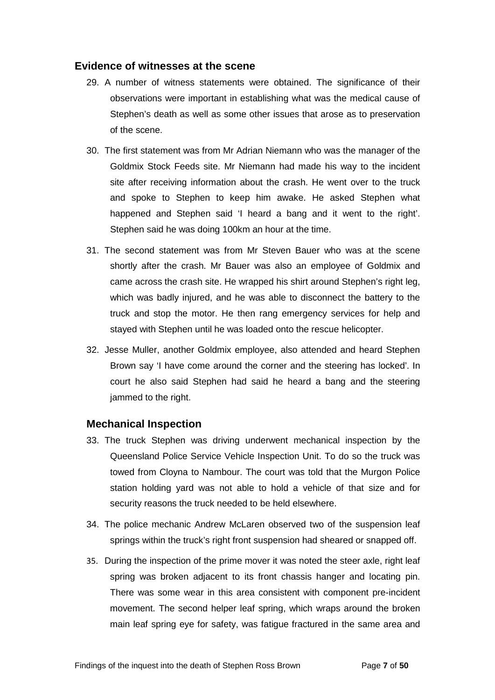#### <span id="page-8-0"></span>**Evidence of witnesses at the scene**

- 29. A number of witness statements were obtained. The significance of their observations were important in establishing what was the medical cause of Stephen's death as well as some other issues that arose as to preservation of the scene.
- 30. The first statement was from Mr Adrian Niemann who was the manager of the Goldmix Stock Feeds site. Mr Niemann had made his way to the incident site after receiving information about the crash. He went over to the truck and spoke to Stephen to keep him awake. He asked Stephen what happened and Stephen said 'I heard a bang and it went to the right'. Stephen said he was doing 100km an hour at the time.
- 31. The second statement was from Mr Steven Bauer who was at the scene shortly after the crash. Mr Bauer was also an employee of Goldmix and came across the crash site. He wrapped his shirt around Stephen's right leg, which was badly injured, and he was able to disconnect the battery to the truck and stop the motor. He then rang emergency services for help and stayed with Stephen until he was loaded onto the rescue helicopter.
- 32. Jesse Muller, another Goldmix employee, also attended and heard Stephen Brown say 'I have come around the corner and the steering has locked'. In court he also said Stephen had said he heard a bang and the steering jammed to the right.

#### <span id="page-8-1"></span>**Mechanical Inspection**

- 33. The truck Stephen was driving underwent mechanical inspection by the Queensland Police Service Vehicle Inspection Unit. To do so the truck was towed from Cloyna to Nambour. The court was told that the Murgon Police station holding yard was not able to hold a vehicle of that size and for security reasons the truck needed to be held elsewhere.
- 34. The police mechanic Andrew McLaren observed two of the suspension leaf springs within the truck's right front suspension had sheared or snapped off.
- 35. During the inspection of the prime mover it was noted the steer axle, right leaf spring was broken adjacent to its front chassis hanger and locating pin. There was some wear in this area consistent with component pre-incident movement. The second helper leaf spring, which wraps around the broken main leaf spring eye for safety, was fatigue fractured in the same area and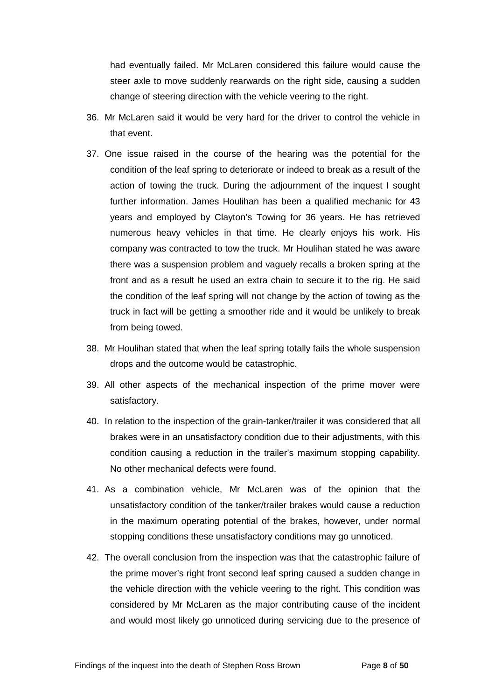had eventually failed. Mr McLaren considered this failure would cause the steer axle to move suddenly rearwards on the right side, causing a sudden change of steering direction with the vehicle veering to the right.

- 36. Mr McLaren said it would be very hard for the driver to control the vehicle in that event.
- 37. One issue raised in the course of the hearing was the potential for the condition of the leaf spring to deteriorate or indeed to break as a result of the action of towing the truck. During the adjournment of the inquest I sought further information. James Houlihan has been a qualified mechanic for 43 years and employed by Clayton's Towing for 36 years. He has retrieved numerous heavy vehicles in that time. He clearly enjoys his work. His company was contracted to tow the truck. Mr Houlihan stated he was aware there was a suspension problem and vaguely recalls a broken spring at the front and as a result he used an extra chain to secure it to the rig. He said the condition of the leaf spring will not change by the action of towing as the truck in fact will be getting a smoother ride and it would be unlikely to break from being towed.
- 38. Mr Houlihan stated that when the leaf spring totally fails the whole suspension drops and the outcome would be catastrophic.
- 39. All other aspects of the mechanical inspection of the prime mover were satisfactory.
- 40. In relation to the inspection of the grain-tanker/trailer it was considered that all brakes were in an unsatisfactory condition due to their adjustments, with this condition causing a reduction in the trailer's maximum stopping capability. No other mechanical defects were found.
- 41. As a combination vehicle, Mr McLaren was of the opinion that the unsatisfactory condition of the tanker/trailer brakes would cause a reduction in the maximum operating potential of the brakes, however, under normal stopping conditions these unsatisfactory conditions may go unnoticed.
- 42. The overall conclusion from the inspection was that the catastrophic failure of the prime mover's right front second leaf spring caused a sudden change in the vehicle direction with the vehicle veering to the right. This condition was considered by Mr McLaren as the major contributing cause of the incident and would most likely go unnoticed during servicing due to the presence of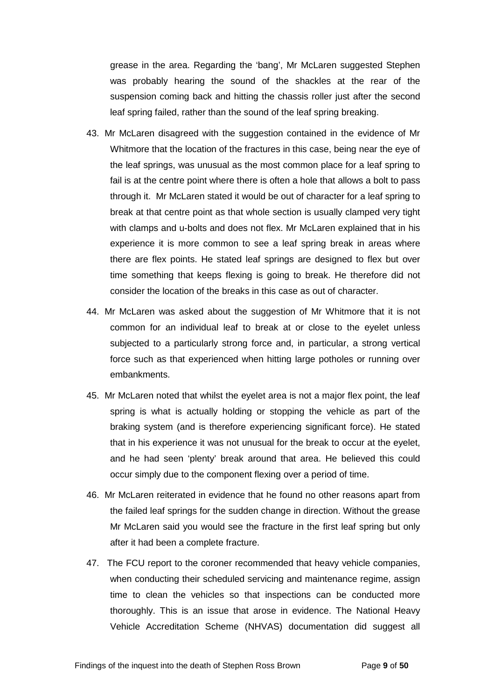grease in the area. Regarding the 'bang', Mr McLaren suggested Stephen was probably hearing the sound of the shackles at the rear of the suspension coming back and hitting the chassis roller just after the second leaf spring failed, rather than the sound of the leaf spring breaking.

- 43. Mr McLaren disagreed with the suggestion contained in the evidence of Mr Whitmore that the location of the fractures in this case, being near the eye of the leaf springs, was unusual as the most common place for a leaf spring to fail is at the centre point where there is often a hole that allows a bolt to pass through it. Mr McLaren stated it would be out of character for a leaf spring to break at that centre point as that whole section is usually clamped very tight with clamps and u-bolts and does not flex. Mr McLaren explained that in his experience it is more common to see a leaf spring break in areas where there are flex points. He stated leaf springs are designed to flex but over time something that keeps flexing is going to break. He therefore did not consider the location of the breaks in this case as out of character.
- 44. Mr McLaren was asked about the suggestion of Mr Whitmore that it is not common for an individual leaf to break at or close to the eyelet unless subjected to a particularly strong force and, in particular, a strong vertical force such as that experienced when hitting large potholes or running over embankments.
- 45. Mr McLaren noted that whilst the eyelet area is not a major flex point, the leaf spring is what is actually holding or stopping the vehicle as part of the braking system (and is therefore experiencing significant force). He stated that in his experience it was not unusual for the break to occur at the eyelet, and he had seen 'plenty' break around that area. He believed this could occur simply due to the component flexing over a period of time.
- 46. Mr McLaren reiterated in evidence that he found no other reasons apart from the failed leaf springs for the sudden change in direction. Without the grease Mr McLaren said you would see the fracture in the first leaf spring but only after it had been a complete fracture.
- 47. The FCU report to the coroner recommended that heavy vehicle companies, when conducting their scheduled servicing and maintenance regime, assign time to clean the vehicles so that inspections can be conducted more thoroughly. This is an issue that arose in evidence. The National Heavy Vehicle Accreditation Scheme (NHVAS) documentation did suggest all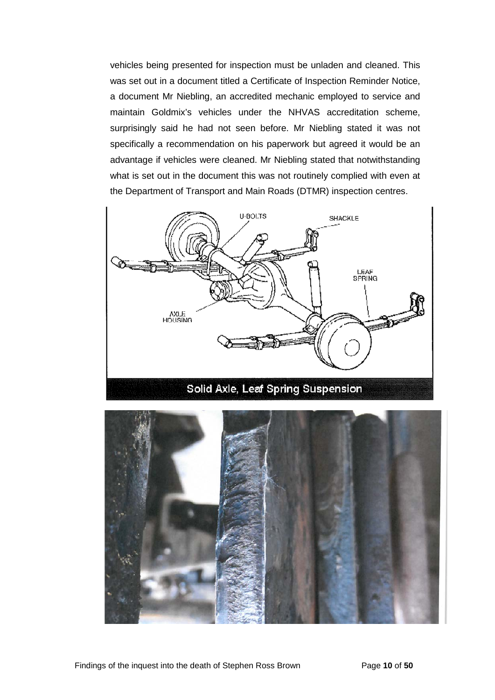vehicles being presented for inspection must be unladen and cleaned. This was set out in a document titled a Certificate of Inspection Reminder Notice, a document Mr Niebling, an accredited mechanic employed to service and maintain Goldmix's vehicles under the NHVAS accreditation scheme, surprisingly said he had not seen before. Mr Niebling stated it was not specifically a recommendation on his paperwork but agreed it would be an advantage if vehicles were cleaned. Mr Niebling stated that notwithstanding what is set out in the document this was not routinely complied with even at the Department of Transport and Main Roads (DTMR) inspection centres.



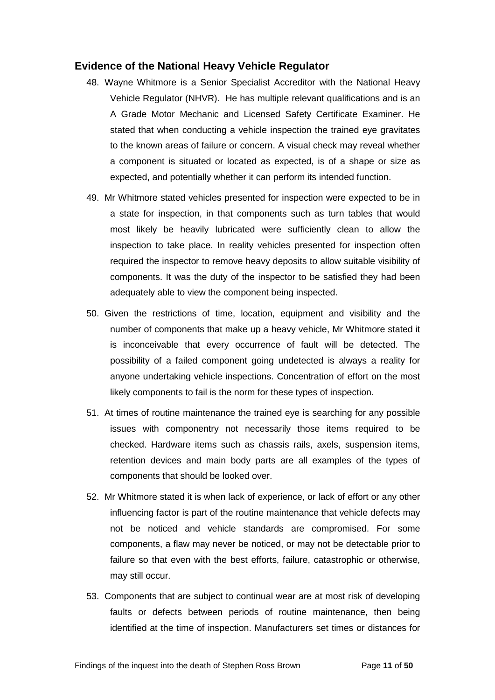#### <span id="page-12-0"></span>**Evidence of the National Heavy Vehicle Regulator**

- 48. Wayne Whitmore is a Senior Specialist Accreditor with the National Heavy Vehicle Regulator (NHVR). He has multiple relevant qualifications and is an A Grade Motor Mechanic and Licensed Safety Certificate Examiner. He stated that when conducting a vehicle inspection the trained eye gravitates to the known areas of failure or concern. A visual check may reveal whether a component is situated or located as expected, is of a shape or size as expected, and potentially whether it can perform its intended function.
- 49. Mr Whitmore stated vehicles presented for inspection were expected to be in a state for inspection, in that components such as turn tables that would most likely be heavily lubricated were sufficiently clean to allow the inspection to take place. In reality vehicles presented for inspection often required the inspector to remove heavy deposits to allow suitable visibility of components. It was the duty of the inspector to be satisfied they had been adequately able to view the component being inspected.
- 50. Given the restrictions of time, location, equipment and visibility and the number of components that make up a heavy vehicle, Mr Whitmore stated it is inconceivable that every occurrence of fault will be detected. The possibility of a failed component going undetected is always a reality for anyone undertaking vehicle inspections. Concentration of effort on the most likely components to fail is the norm for these types of inspection.
- 51. At times of routine maintenance the trained eye is searching for any possible issues with componentry not necessarily those items required to be checked. Hardware items such as chassis rails, axels, suspension items, retention devices and main body parts are all examples of the types of components that should be looked over.
- 52. Mr Whitmore stated it is when lack of experience, or lack of effort or any other influencing factor is part of the routine maintenance that vehicle defects may not be noticed and vehicle standards are compromised. For some components, a flaw may never be noticed, or may not be detectable prior to failure so that even with the best efforts, failure, catastrophic or otherwise, may still occur.
- 53. Components that are subject to continual wear are at most risk of developing faults or defects between periods of routine maintenance, then being identified at the time of inspection. Manufacturers set times or distances for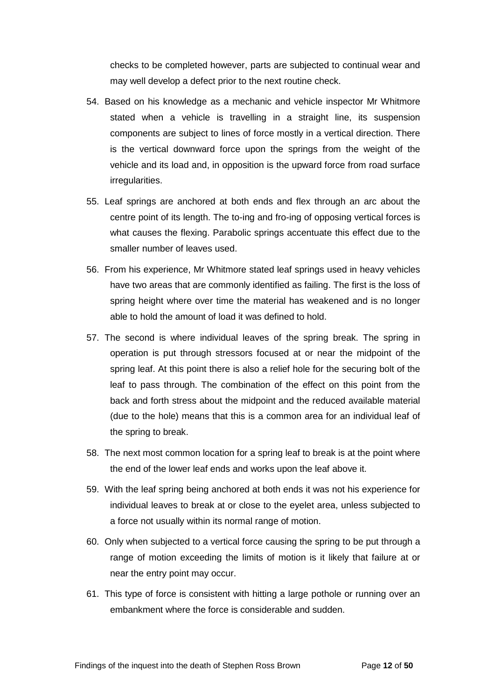checks to be completed however, parts are subjected to continual wear and may well develop a defect prior to the next routine check.

- 54. Based on his knowledge as a mechanic and vehicle inspector Mr Whitmore stated when a vehicle is travelling in a straight line, its suspension components are subject to lines of force mostly in a vertical direction. There is the vertical downward force upon the springs from the weight of the vehicle and its load and, in opposition is the upward force from road surface irregularities.
- 55. Leaf springs are anchored at both ends and flex through an arc about the centre point of its length. The to-ing and fro-ing of opposing vertical forces is what causes the flexing. Parabolic springs accentuate this effect due to the smaller number of leaves used.
- 56. From his experience, Mr Whitmore stated leaf springs used in heavy vehicles have two areas that are commonly identified as failing. The first is the loss of spring height where over time the material has weakened and is no longer able to hold the amount of load it was defined to hold.
- 57. The second is where individual leaves of the spring break. The spring in operation is put through stressors focused at or near the midpoint of the spring leaf. At this point there is also a relief hole for the securing bolt of the leaf to pass through. The combination of the effect on this point from the back and forth stress about the midpoint and the reduced available material (due to the hole) means that this is a common area for an individual leaf of the spring to break.
- 58. The next most common location for a spring leaf to break is at the point where the end of the lower leaf ends and works upon the leaf above it.
- 59. With the leaf spring being anchored at both ends it was not his experience for individual leaves to break at or close to the eyelet area, unless subjected to a force not usually within its normal range of motion.
- 60. Only when subjected to a vertical force causing the spring to be put through a range of motion exceeding the limits of motion is it likely that failure at or near the entry point may occur.
- 61. This type of force is consistent with hitting a large pothole or running over an embankment where the force is considerable and sudden.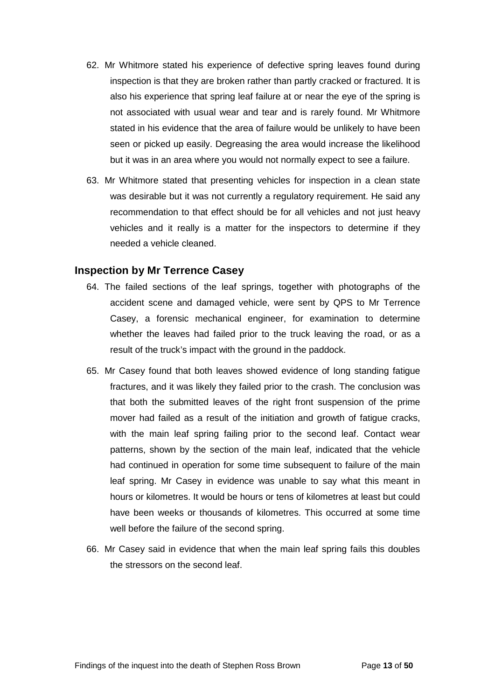- 62. Mr Whitmore stated his experience of defective spring leaves found during inspection is that they are broken rather than partly cracked or fractured. It is also his experience that spring leaf failure at or near the eye of the spring is not associated with usual wear and tear and is rarely found. Mr Whitmore stated in his evidence that the area of failure would be unlikely to have been seen or picked up easily. Degreasing the area would increase the likelihood but it was in an area where you would not normally expect to see a failure.
- 63. Mr Whitmore stated that presenting vehicles for inspection in a clean state was desirable but it was not currently a regulatory requirement. He said any recommendation to that effect should be for all vehicles and not just heavy vehicles and it really is a matter for the inspectors to determine if they needed a vehicle cleaned.

#### <span id="page-14-0"></span>**Inspection by Mr Terrence Casey**

- 64. The failed sections of the leaf springs, together with photographs of the accident scene and damaged vehicle, were sent by QPS to Mr Terrence Casey, a forensic mechanical engineer, for examination to determine whether the leaves had failed prior to the truck leaving the road, or as a result of the truck's impact with the ground in the paddock.
- 65. Mr Casey found that both leaves showed evidence of long standing fatigue fractures, and it was likely they failed prior to the crash. The conclusion was that both the submitted leaves of the right front suspension of the prime mover had failed as a result of the initiation and growth of fatigue cracks, with the main leaf spring failing prior to the second leaf. Contact wear patterns, shown by the section of the main leaf, indicated that the vehicle had continued in operation for some time subsequent to failure of the main leaf spring. Mr Casey in evidence was unable to say what this meant in hours or kilometres. It would be hours or tens of kilometres at least but could have been weeks or thousands of kilometres. This occurred at some time well before the failure of the second spring.
- 66. Mr Casey said in evidence that when the main leaf spring fails this doubles the stressors on the second leaf.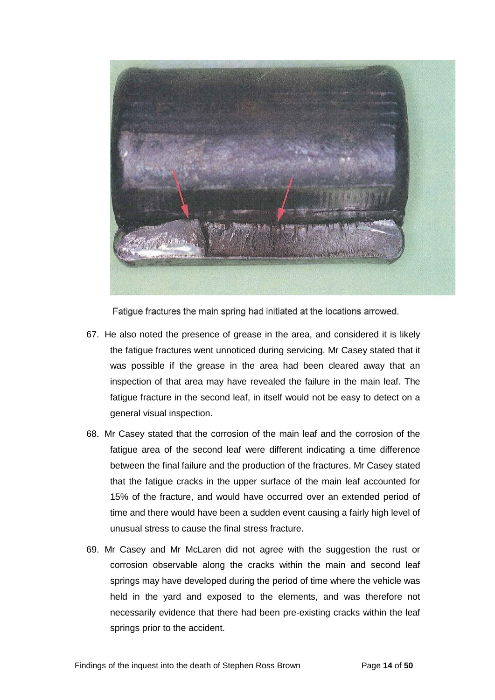

Fatigue fractures the main spring had initiated at the locations arrowed.

- 67. He also noted the presence of grease in the area, and considered it is likely the fatigue fractures went unnoticed during servicing. Mr Casey stated that it was possible if the grease in the area had been cleared away that an inspection of that area may have revealed the failure in the main leaf. The fatigue fracture in the second leaf, in itself would not be easy to detect on a general visual inspection.
- 68. Mr Casey stated that the corrosion of the main leaf and the corrosion of the fatigue area of the second leaf were different indicating a time difference between the final failure and the production of the fractures. Mr Casey stated that the fatigue cracks in the upper surface of the main leaf accounted for 15% of the fracture, and would have occurred over an extended period of time and there would have been a sudden event causing a fairly high level of unusual stress to cause the final stress fracture.
- 69. Mr Casey and Mr McLaren did not agree with the suggestion the rust or corrosion observable along the cracks within the main and second leaf springs may have developed during the period of time where the vehicle was held in the yard and exposed to the elements, and was therefore not necessarily evidence that there had been pre-existing cracks within the leaf springs prior to the accident.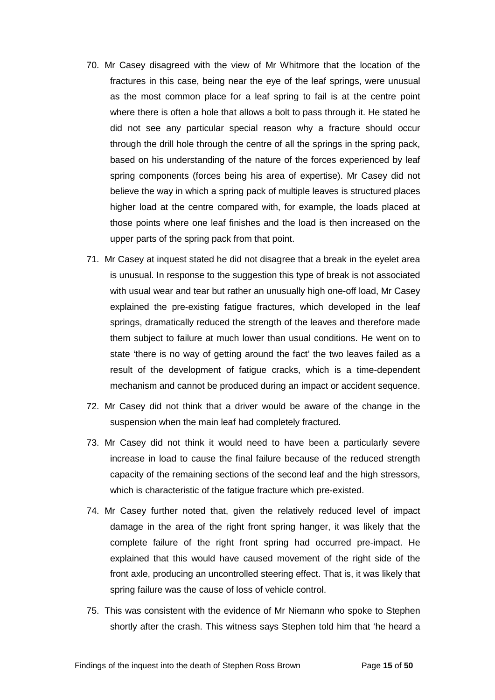- 70. Mr Casey disagreed with the view of Mr Whitmore that the location of the fractures in this case, being near the eye of the leaf springs, were unusual as the most common place for a leaf spring to fail is at the centre point where there is often a hole that allows a bolt to pass through it. He stated he did not see any particular special reason why a fracture should occur through the drill hole through the centre of all the springs in the spring pack, based on his understanding of the nature of the forces experienced by leaf spring components (forces being his area of expertise). Mr Casey did not believe the way in which a spring pack of multiple leaves is structured places higher load at the centre compared with, for example, the loads placed at those points where one leaf finishes and the load is then increased on the upper parts of the spring pack from that point.
- 71. Mr Casey at inquest stated he did not disagree that a break in the eyelet area is unusual. In response to the suggestion this type of break is not associated with usual wear and tear but rather an unusually high one-off load, Mr Casey explained the pre-existing fatigue fractures, which developed in the leaf springs, dramatically reduced the strength of the leaves and therefore made them subject to failure at much lower than usual conditions. He went on to state 'there is no way of getting around the fact' the two leaves failed as a result of the development of fatigue cracks, which is a time-dependent mechanism and cannot be produced during an impact or accident sequence.
- 72. Mr Casey did not think that a driver would be aware of the change in the suspension when the main leaf had completely fractured.
- 73. Mr Casey did not think it would need to have been a particularly severe increase in load to cause the final failure because of the reduced strength capacity of the remaining sections of the second leaf and the high stressors, which is characteristic of the fatigue fracture which pre-existed.
- 74. Mr Casey further noted that, given the relatively reduced level of impact damage in the area of the right front spring hanger, it was likely that the complete failure of the right front spring had occurred pre-impact. He explained that this would have caused movement of the right side of the front axle, producing an uncontrolled steering effect. That is, it was likely that spring failure was the cause of loss of vehicle control.
- 75. This was consistent with the evidence of Mr Niemann who spoke to Stephen shortly after the crash. This witness says Stephen told him that 'he heard a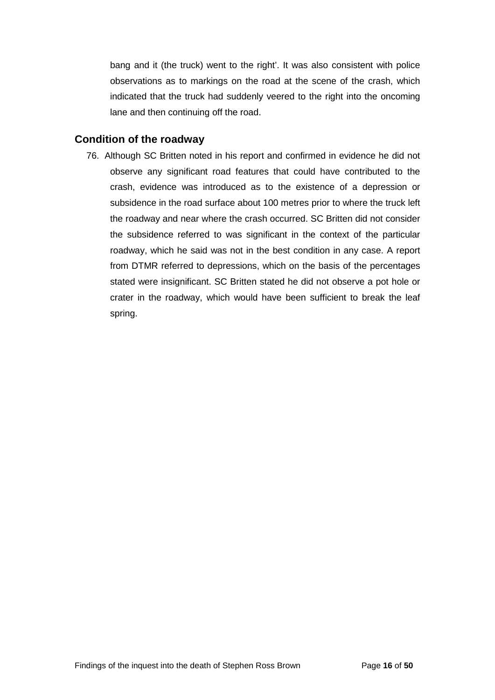bang and it (the truck) went to the right'. It was also consistent with police observations as to markings on the road at the scene of the crash, which indicated that the truck had suddenly veered to the right into the oncoming lane and then continuing off the road.

### <span id="page-17-0"></span>**Condition of the roadway**

76. Although SC Britten noted in his report and confirmed in evidence he did not observe any significant road features that could have contributed to the crash, evidence was introduced as to the existence of a depression or subsidence in the road surface about 100 metres prior to where the truck left the roadway and near where the crash occurred. SC Britten did not consider the subsidence referred to was significant in the context of the particular roadway, which he said was not in the best condition in any case. A report from DTMR referred to depressions, which on the basis of the percentages stated were insignificant. SC Britten stated he did not observe a pot hole or crater in the roadway, which would have been sufficient to break the leaf spring.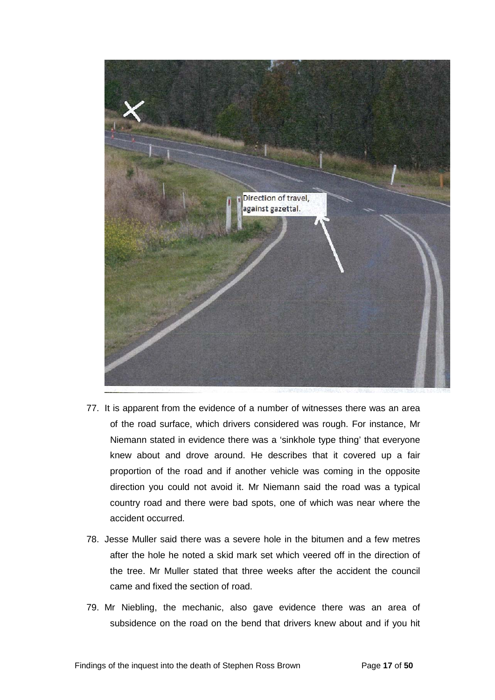

- 77. It is apparent from the evidence of a number of witnesses there was an area of the road surface, which drivers considered was rough. For instance, Mr Niemann stated in evidence there was a 'sinkhole type thing' that everyone knew about and drove around. He describes that it covered up a fair proportion of the road and if another vehicle was coming in the opposite direction you could not avoid it. Mr Niemann said the road was a typical country road and there were bad spots, one of which was near where the accident occurred.
- 78. Jesse Muller said there was a severe hole in the bitumen and a few metres after the hole he noted a skid mark set which veered off in the direction of the tree. Mr Muller stated that three weeks after the accident the council came and fixed the section of road.
- 79. Mr Niebling, the mechanic, also gave evidence there was an area of subsidence on the road on the bend that drivers knew about and if you hit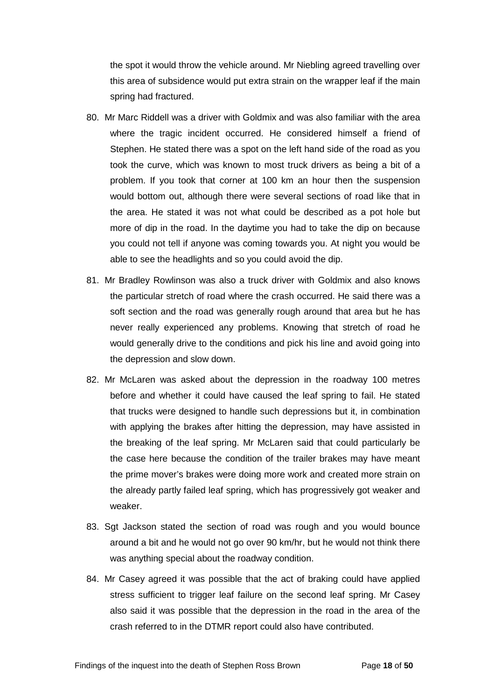the spot it would throw the vehicle around. Mr Niebling agreed travelling over this area of subsidence would put extra strain on the wrapper leaf if the main spring had fractured.

- 80. Mr Marc Riddell was a driver with Goldmix and was also familiar with the area where the tragic incident occurred. He considered himself a friend of Stephen. He stated there was a spot on the left hand side of the road as you took the curve, which was known to most truck drivers as being a bit of a problem. If you took that corner at 100 km an hour then the suspension would bottom out, although there were several sections of road like that in the area. He stated it was not what could be described as a pot hole but more of dip in the road. In the daytime you had to take the dip on because you could not tell if anyone was coming towards you. At night you would be able to see the headlights and so you could avoid the dip.
- 81. Mr Bradley Rowlinson was also a truck driver with Goldmix and also knows the particular stretch of road where the crash occurred. He said there was a soft section and the road was generally rough around that area but he has never really experienced any problems. Knowing that stretch of road he would generally drive to the conditions and pick his line and avoid going into the depression and slow down.
- 82. Mr McLaren was asked about the depression in the roadway 100 metres before and whether it could have caused the leaf spring to fail. He stated that trucks were designed to handle such depressions but it, in combination with applying the brakes after hitting the depression, may have assisted in the breaking of the leaf spring. Mr McLaren said that could particularly be the case here because the condition of the trailer brakes may have meant the prime mover's brakes were doing more work and created more strain on the already partly failed leaf spring, which has progressively got weaker and weaker.
- 83. Sgt Jackson stated the section of road was rough and you would bounce around a bit and he would not go over 90 km/hr, but he would not think there was anything special about the roadway condition.
- 84. Mr Casey agreed it was possible that the act of braking could have applied stress sufficient to trigger leaf failure on the second leaf spring. Mr Casey also said it was possible that the depression in the road in the area of the crash referred to in the DTMR report could also have contributed.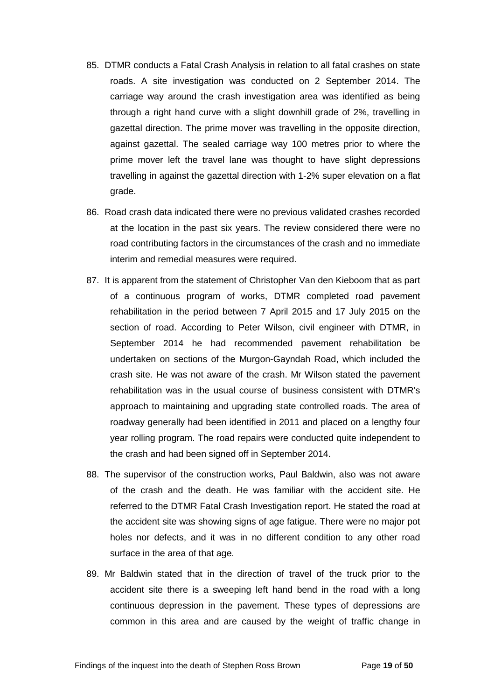- 85. DTMR conducts a Fatal Crash Analysis in relation to all fatal crashes on state roads. A site investigation was conducted on 2 September 2014. The carriage way around the crash investigation area was identified as being through a right hand curve with a slight downhill grade of 2%, travelling in gazettal direction. The prime mover was travelling in the opposite direction, against gazettal. The sealed carriage way 100 metres prior to where the prime mover left the travel lane was thought to have slight depressions travelling in against the gazettal direction with 1-2% super elevation on a flat grade.
- 86. Road crash data indicated there were no previous validated crashes recorded at the location in the past six years. The review considered there were no road contributing factors in the circumstances of the crash and no immediate interim and remedial measures were required.
- 87. It is apparent from the statement of Christopher Van den Kieboom that as part of a continuous program of works, DTMR completed road pavement rehabilitation in the period between 7 April 2015 and 17 July 2015 on the section of road. According to Peter Wilson, civil engineer with DTMR, in September 2014 he had recommended pavement rehabilitation be undertaken on sections of the Murgon-Gayndah Road, which included the crash site. He was not aware of the crash. Mr Wilson stated the pavement rehabilitation was in the usual course of business consistent with DTMR's approach to maintaining and upgrading state controlled roads. The area of roadway generally had been identified in 2011 and placed on a lengthy four year rolling program. The road repairs were conducted quite independent to the crash and had been signed off in September 2014.
- 88. The supervisor of the construction works, Paul Baldwin, also was not aware of the crash and the death. He was familiar with the accident site. He referred to the DTMR Fatal Crash Investigation report. He stated the road at the accident site was showing signs of age fatigue. There were no major pot holes nor defects, and it was in no different condition to any other road surface in the area of that age.
- 89. Mr Baldwin stated that in the direction of travel of the truck prior to the accident site there is a sweeping left hand bend in the road with a long continuous depression in the pavement. These types of depressions are common in this area and are caused by the weight of traffic change in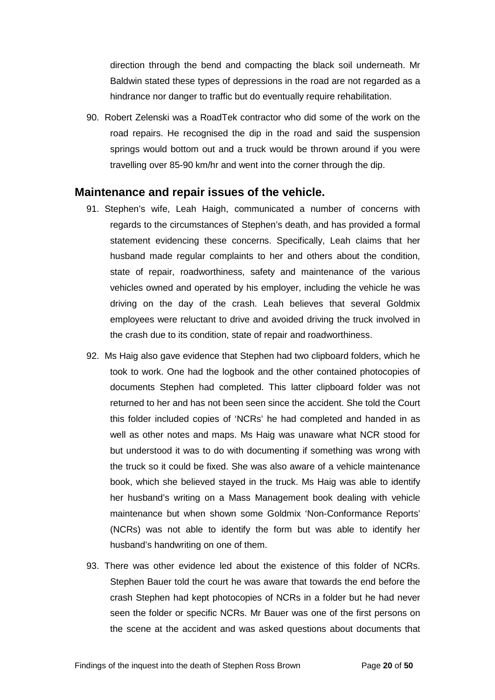direction through the bend and compacting the black soil underneath. Mr Baldwin stated these types of depressions in the road are not regarded as a hindrance nor danger to traffic but do eventually require rehabilitation.

90. Robert Zelenski was a RoadTek contractor who did some of the work on the road repairs. He recognised the dip in the road and said the suspension springs would bottom out and a truck would be thrown around if you were travelling over 85-90 km/hr and went into the corner through the dip.

### <span id="page-21-0"></span>**Maintenance and repair issues of the vehicle.**

- 91. Stephen's wife, Leah Haigh, communicated a number of concerns with regards to the circumstances of Stephen's death, and has provided a formal statement evidencing these concerns. Specifically, Leah claims that her husband made regular complaints to her and others about the condition, state of repair, roadworthiness, safety and maintenance of the various vehicles owned and operated by his employer, including the vehicle he was driving on the day of the crash. Leah believes that several Goldmix employees were reluctant to drive and avoided driving the truck involved in the crash due to its condition, state of repair and roadworthiness.
- 92. Ms Haig also gave evidence that Stephen had two clipboard folders, which he took to work. One had the logbook and the other contained photocopies of documents Stephen had completed. This latter clipboard folder was not returned to her and has not been seen since the accident. She told the Court this folder included copies of 'NCRs' he had completed and handed in as well as other notes and maps. Ms Haig was unaware what NCR stood for but understood it was to do with documenting if something was wrong with the truck so it could be fixed. She was also aware of a vehicle maintenance book, which she believed stayed in the truck. Ms Haig was able to identify her husband's writing on a Mass Management book dealing with vehicle maintenance but when shown some Goldmix 'Non-Conformance Reports' (NCRs) was not able to identify the form but was able to identify her husband's handwriting on one of them.
- 93. There was other evidence led about the existence of this folder of NCRs. Stephen Bauer told the court he was aware that towards the end before the crash Stephen had kept photocopies of NCRs in a folder but he had never seen the folder or specific NCRs. Mr Bauer was one of the first persons on the scene at the accident and was asked questions about documents that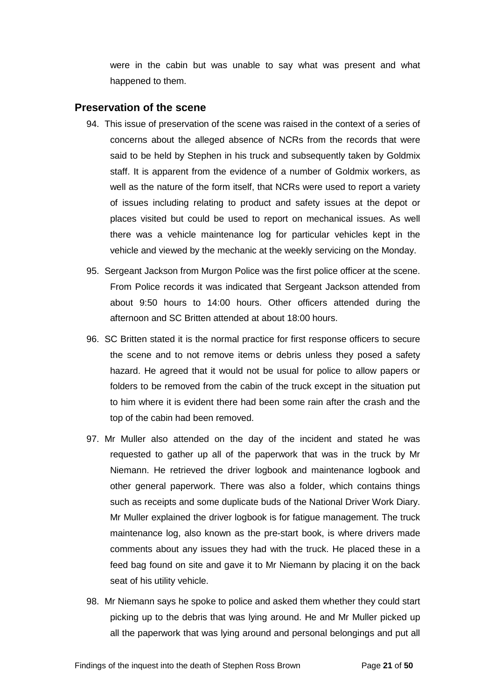were in the cabin but was unable to say what was present and what happened to them.

#### <span id="page-22-0"></span>**Preservation of the scene**

- 94. This issue of preservation of the scene was raised in the context of a series of concerns about the alleged absence of NCRs from the records that were said to be held by Stephen in his truck and subsequently taken by Goldmix staff. It is apparent from the evidence of a number of Goldmix workers, as well as the nature of the form itself, that NCRs were used to report a variety of issues including relating to product and safety issues at the depot or places visited but could be used to report on mechanical issues. As well there was a vehicle maintenance log for particular vehicles kept in the vehicle and viewed by the mechanic at the weekly servicing on the Monday.
- 95. Sergeant Jackson from Murgon Police was the first police officer at the scene. From Police records it was indicated that Sergeant Jackson attended from about 9:50 hours to 14:00 hours. Other officers attended during the afternoon and SC Britten attended at about 18:00 hours.
- 96. SC Britten stated it is the normal practice for first response officers to secure the scene and to not remove items or debris unless they posed a safety hazard. He agreed that it would not be usual for police to allow papers or folders to be removed from the cabin of the truck except in the situation put to him where it is evident there had been some rain after the crash and the top of the cabin had been removed.
- 97. Mr Muller also attended on the day of the incident and stated he was requested to gather up all of the paperwork that was in the truck by Mr Niemann. He retrieved the driver logbook and maintenance logbook and other general paperwork. There was also a folder, which contains things such as receipts and some duplicate buds of the National Driver Work Diary. Mr Muller explained the driver logbook is for fatigue management. The truck maintenance log, also known as the pre-start book, is where drivers made comments about any issues they had with the truck. He placed these in a feed bag found on site and gave it to Mr Niemann by placing it on the back seat of his utility vehicle.
- 98. Mr Niemann says he spoke to police and asked them whether they could start picking up to the debris that was lying around. He and Mr Muller picked up all the paperwork that was lying around and personal belongings and put all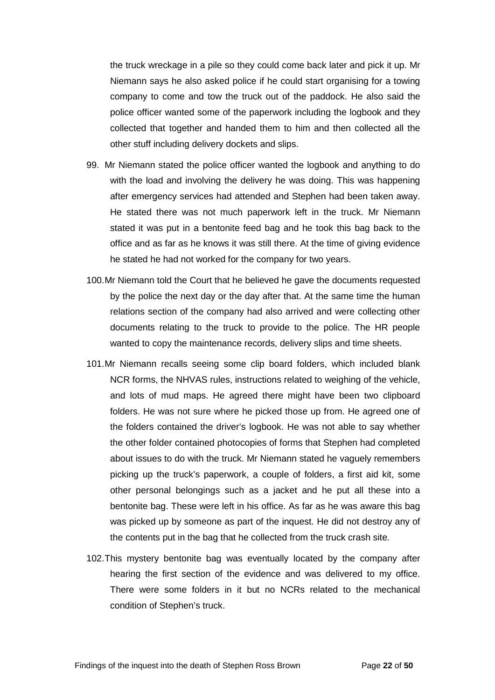the truck wreckage in a pile so they could come back later and pick it up. Mr Niemann says he also asked police if he could start organising for a towing company to come and tow the truck out of the paddock. He also said the police officer wanted some of the paperwork including the logbook and they collected that together and handed them to him and then collected all the other stuff including delivery dockets and slips.

- 99. Mr Niemann stated the police officer wanted the logbook and anything to do with the load and involving the delivery he was doing. This was happening after emergency services had attended and Stephen had been taken away. He stated there was not much paperwork left in the truck. Mr Niemann stated it was put in a bentonite feed bag and he took this bag back to the office and as far as he knows it was still there. At the time of giving evidence he stated he had not worked for the company for two years.
- 100.Mr Niemann told the Court that he believed he gave the documents requested by the police the next day or the day after that. At the same time the human relations section of the company had also arrived and were collecting other documents relating to the truck to provide to the police. The HR people wanted to copy the maintenance records, delivery slips and time sheets.
- 101.Mr Niemann recalls seeing some clip board folders, which included blank NCR forms, the NHVAS rules, instructions related to weighing of the vehicle, and lots of mud maps. He agreed there might have been two clipboard folders. He was not sure where he picked those up from. He agreed one of the folders contained the driver's logbook. He was not able to say whether the other folder contained photocopies of forms that Stephen had completed about issues to do with the truck. Mr Niemann stated he vaguely remembers picking up the truck's paperwork, a couple of folders, a first aid kit, some other personal belongings such as a jacket and he put all these into a bentonite bag. These were left in his office. As far as he was aware this bag was picked up by someone as part of the inquest. He did not destroy any of the contents put in the bag that he collected from the truck crash site.
- 102.This mystery bentonite bag was eventually located by the company after hearing the first section of the evidence and was delivered to my office. There were some folders in it but no NCRs related to the mechanical condition of Stephen's truck.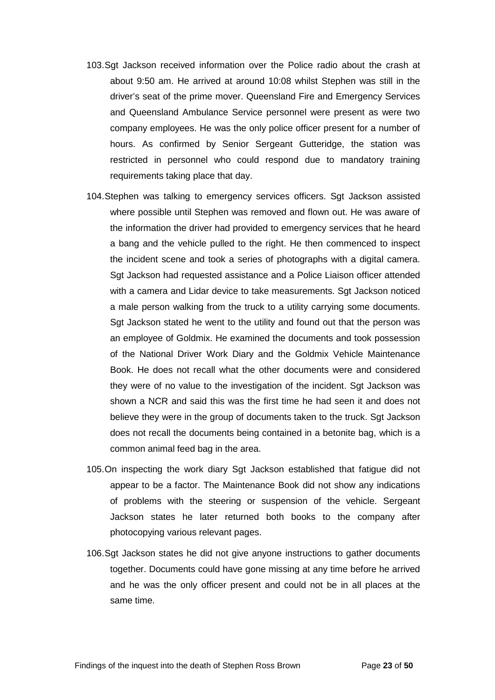- 103.Sgt Jackson received information over the Police radio about the crash at about 9:50 am. He arrived at around 10:08 whilst Stephen was still in the driver's seat of the prime mover. Queensland Fire and Emergency Services and Queensland Ambulance Service personnel were present as were two company employees. He was the only police officer present for a number of hours. As confirmed by Senior Sergeant Gutteridge, the station was restricted in personnel who could respond due to mandatory training requirements taking place that day.
- 104.Stephen was talking to emergency services officers. Sgt Jackson assisted where possible until Stephen was removed and flown out. He was aware of the information the driver had provided to emergency services that he heard a bang and the vehicle pulled to the right. He then commenced to inspect the incident scene and took a series of photographs with a digital camera. Sgt Jackson had requested assistance and a Police Liaison officer attended with a camera and Lidar device to take measurements. Sgt Jackson noticed a male person walking from the truck to a utility carrying some documents. Sgt Jackson stated he went to the utility and found out that the person was an employee of Goldmix. He examined the documents and took possession of the National Driver Work Diary and the Goldmix Vehicle Maintenance Book. He does not recall what the other documents were and considered they were of no value to the investigation of the incident. Sgt Jackson was shown a NCR and said this was the first time he had seen it and does not believe they were in the group of documents taken to the truck. Sgt Jackson does not recall the documents being contained in a betonite bag, which is a common animal feed bag in the area.
- 105.On inspecting the work diary Sgt Jackson established that fatigue did not appear to be a factor. The Maintenance Book did not show any indications of problems with the steering or suspension of the vehicle. Sergeant Jackson states he later returned both books to the company after photocopying various relevant pages.
- 106.Sgt Jackson states he did not give anyone instructions to gather documents together. Documents could have gone missing at any time before he arrived and he was the only officer present and could not be in all places at the same time.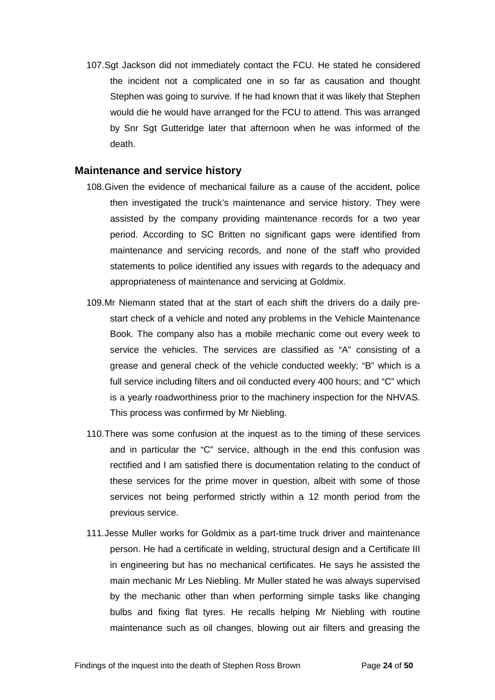107.Sgt Jackson did not immediately contact the FCU. He stated he considered the incident not a complicated one in so far as causation and thought Stephen was going to survive. If he had known that it was likely that Stephen would die he would have arranged for the FCU to attend. This was arranged by Snr Sgt Gutteridge later that afternoon when he was informed of the death.

#### <span id="page-25-0"></span>**Maintenance and service history**

- 108.Given the evidence of mechanical failure as a cause of the accident, police then investigated the truck's maintenance and service history. They were assisted by the company providing maintenance records for a two year period. According to SC Britten no significant gaps were identified from maintenance and servicing records, and none of the staff who provided statements to police identified any issues with regards to the adequacy and appropriateness of maintenance and servicing at Goldmix.
- 109.Mr Niemann stated that at the start of each shift the drivers do a daily prestart check of a vehicle and noted any problems in the Vehicle Maintenance Book. The company also has a mobile mechanic come out every week to service the vehicles. The services are classified as "A" consisting of a grease and general check of the vehicle conducted weekly; "B" which is a full service including filters and oil conducted every 400 hours; and "C" which is a yearly roadworthiness prior to the machinery inspection for the NHVAS. This process was confirmed by Mr Niebling.
- 110.There was some confusion at the inquest as to the timing of these services and in particular the "C" service, although in the end this confusion was rectified and I am satisfied there is documentation relating to the conduct of these services for the prime mover in question, albeit with some of those services not being performed strictly within a 12 month period from the previous service.
- 111.Jesse Muller works for Goldmix as a part-time truck driver and maintenance person. He had a certificate in welding, structural design and a Certificate III in engineering but has no mechanical certificates. He says he assisted the main mechanic Mr Les Niebling. Mr Muller stated he was always supervised by the mechanic other than when performing simple tasks like changing bulbs and fixing flat tyres. He recalls helping Mr Niebling with routine maintenance such as oil changes, blowing out air filters and greasing the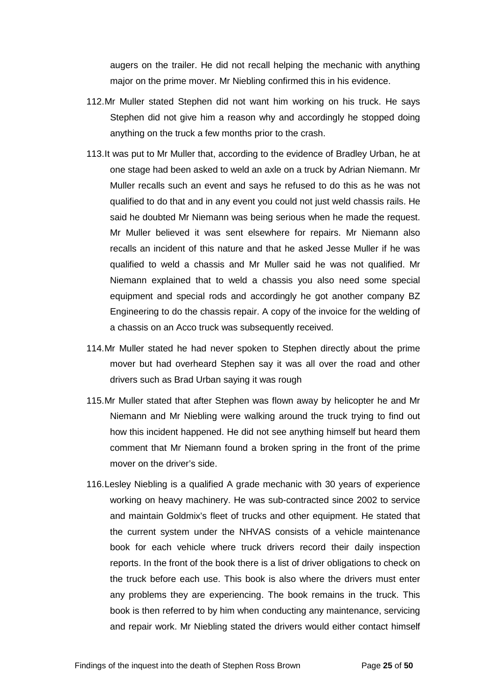augers on the trailer. He did not recall helping the mechanic with anything major on the prime mover. Mr Niebling confirmed this in his evidence.

- 112.Mr Muller stated Stephen did not want him working on his truck. He says Stephen did not give him a reason why and accordingly he stopped doing anything on the truck a few months prior to the crash.
- 113.It was put to Mr Muller that, according to the evidence of Bradley Urban, he at one stage had been asked to weld an axle on a truck by Adrian Niemann. Mr Muller recalls such an event and says he refused to do this as he was not qualified to do that and in any event you could not just weld chassis rails. He said he doubted Mr Niemann was being serious when he made the request. Mr Muller believed it was sent elsewhere for repairs. Mr Niemann also recalls an incident of this nature and that he asked Jesse Muller if he was qualified to weld a chassis and Mr Muller said he was not qualified. Mr Niemann explained that to weld a chassis you also need some special equipment and special rods and accordingly he got another company BZ Engineering to do the chassis repair. A copy of the invoice for the welding of a chassis on an Acco truck was subsequently received.
- 114.Mr Muller stated he had never spoken to Stephen directly about the prime mover but had overheard Stephen say it was all over the road and other drivers such as Brad Urban saying it was rough
- 115.Mr Muller stated that after Stephen was flown away by helicopter he and Mr Niemann and Mr Niebling were walking around the truck trying to find out how this incident happened. He did not see anything himself but heard them comment that Mr Niemann found a broken spring in the front of the prime mover on the driver's side.
- 116.Lesley Niebling is a qualified A grade mechanic with 30 years of experience working on heavy machinery. He was sub-contracted since 2002 to service and maintain Goldmix's fleet of trucks and other equipment. He stated that the current system under the NHVAS consists of a vehicle maintenance book for each vehicle where truck drivers record their daily inspection reports. In the front of the book there is a list of driver obligations to check on the truck before each use. This book is also where the drivers must enter any problems they are experiencing. The book remains in the truck. This book is then referred to by him when conducting any maintenance, servicing and repair work. Mr Niebling stated the drivers would either contact himself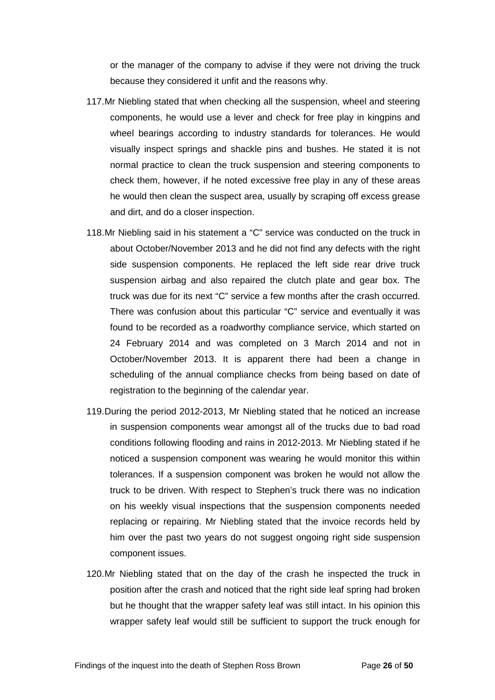or the manager of the company to advise if they were not driving the truck because they considered it unfit and the reasons why.

- 117.Mr Niebling stated that when checking all the suspension, wheel and steering components, he would use a lever and check for free play in kingpins and wheel bearings according to industry standards for tolerances. He would visually inspect springs and shackle pins and bushes. He stated it is not normal practice to clean the truck suspension and steering components to check them, however, if he noted excessive free play in any of these areas he would then clean the suspect area, usually by scraping off excess grease and dirt, and do a closer inspection.
- 118.Mr Niebling said in his statement a "C" service was conducted on the truck in about October/November 2013 and he did not find any defects with the right side suspension components. He replaced the left side rear drive truck suspension airbag and also repaired the clutch plate and gear box. The truck was due for its next "C" service a few months after the crash occurred. There was confusion about this particular "C" service and eventually it was found to be recorded as a roadworthy compliance service, which started on 24 February 2014 and was completed on 3 March 2014 and not in October/November 2013. It is apparent there had been a change in scheduling of the annual compliance checks from being based on date of registration to the beginning of the calendar year.
- 119.During the period 2012-2013, Mr Niebling stated that he noticed an increase in suspension components wear amongst all of the trucks due to bad road conditions following flooding and rains in 2012-2013. Mr Niebling stated if he noticed a suspension component was wearing he would monitor this within tolerances. If a suspension component was broken he would not allow the truck to be driven. With respect to Stephen's truck there was no indication on his weekly visual inspections that the suspension components needed replacing or repairing. Mr Niebling stated that the invoice records held by him over the past two years do not suggest ongoing right side suspension component issues.
- 120.Mr Niebling stated that on the day of the crash he inspected the truck in position after the crash and noticed that the right side leaf spring had broken but he thought that the wrapper safety leaf was still intact. In his opinion this wrapper safety leaf would still be sufficient to support the truck enough for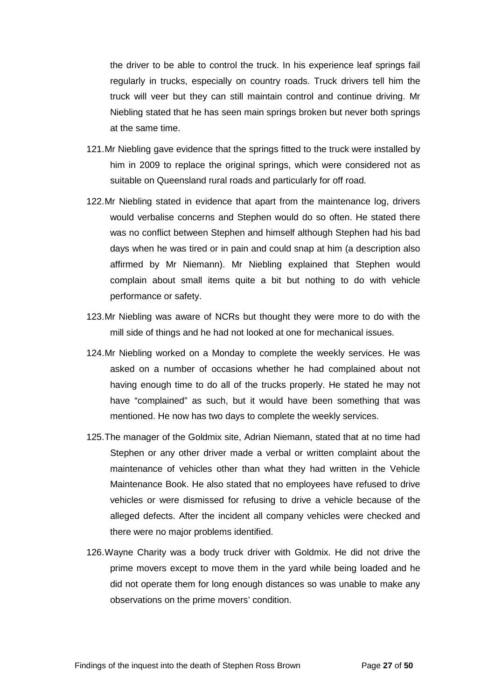the driver to be able to control the truck. In his experience leaf springs fail regularly in trucks, especially on country roads. Truck drivers tell him the truck will veer but they can still maintain control and continue driving. Mr Niebling stated that he has seen main springs broken but never both springs at the same time.

- 121.Mr Niebling gave evidence that the springs fitted to the truck were installed by him in 2009 to replace the original springs, which were considered not as suitable on Queensland rural roads and particularly for off road.
- 122.Mr Niebling stated in evidence that apart from the maintenance log, drivers would verbalise concerns and Stephen would do so often. He stated there was no conflict between Stephen and himself although Stephen had his bad days when he was tired or in pain and could snap at him (a description also affirmed by Mr Niemann). Mr Niebling explained that Stephen would complain about small items quite a bit but nothing to do with vehicle performance or safety.
- 123.Mr Niebling was aware of NCRs but thought they were more to do with the mill side of things and he had not looked at one for mechanical issues.
- 124.Mr Niebling worked on a Monday to complete the weekly services. He was asked on a number of occasions whether he had complained about not having enough time to do all of the trucks properly. He stated he may not have "complained" as such, but it would have been something that was mentioned. He now has two days to complete the weekly services.
- 125.The manager of the Goldmix site, Adrian Niemann, stated that at no time had Stephen or any other driver made a verbal or written complaint about the maintenance of vehicles other than what they had written in the Vehicle Maintenance Book. He also stated that no employees have refused to drive vehicles or were dismissed for refusing to drive a vehicle because of the alleged defects. After the incident all company vehicles were checked and there were no major problems identified.
- 126.Wayne Charity was a body truck driver with Goldmix. He did not drive the prime movers except to move them in the yard while being loaded and he did not operate them for long enough distances so was unable to make any observations on the prime movers' condition.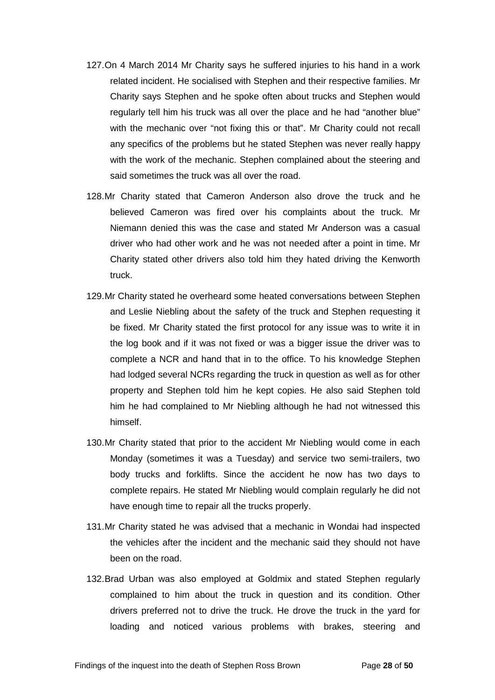- 127.On 4 March 2014 Mr Charity says he suffered injuries to his hand in a work related incident. He socialised with Stephen and their respective families. Mr Charity says Stephen and he spoke often about trucks and Stephen would regularly tell him his truck was all over the place and he had "another blue" with the mechanic over "not fixing this or that". Mr Charity could not recall any specifics of the problems but he stated Stephen was never really happy with the work of the mechanic. Stephen complained about the steering and said sometimes the truck was all over the road.
- 128.Mr Charity stated that Cameron Anderson also drove the truck and he believed Cameron was fired over his complaints about the truck. Mr Niemann denied this was the case and stated Mr Anderson was a casual driver who had other work and he was not needed after a point in time. Mr Charity stated other drivers also told him they hated driving the Kenworth truck.
- 129.Mr Charity stated he overheard some heated conversations between Stephen and Leslie Niebling about the safety of the truck and Stephen requesting it be fixed. Mr Charity stated the first protocol for any issue was to write it in the log book and if it was not fixed or was a bigger issue the driver was to complete a NCR and hand that in to the office. To his knowledge Stephen had lodged several NCRs regarding the truck in question as well as for other property and Stephen told him he kept copies. He also said Stephen told him he had complained to Mr Niebling although he had not witnessed this himself.
- 130.Mr Charity stated that prior to the accident Mr Niebling would come in each Monday (sometimes it was a Tuesday) and service two semi-trailers, two body trucks and forklifts. Since the accident he now has two days to complete repairs. He stated Mr Niebling would complain regularly he did not have enough time to repair all the trucks properly.
- 131.Mr Charity stated he was advised that a mechanic in Wondai had inspected the vehicles after the incident and the mechanic said they should not have been on the road.
- 132.Brad Urban was also employed at Goldmix and stated Stephen regularly complained to him about the truck in question and its condition. Other drivers preferred not to drive the truck. He drove the truck in the yard for loading and noticed various problems with brakes, steering and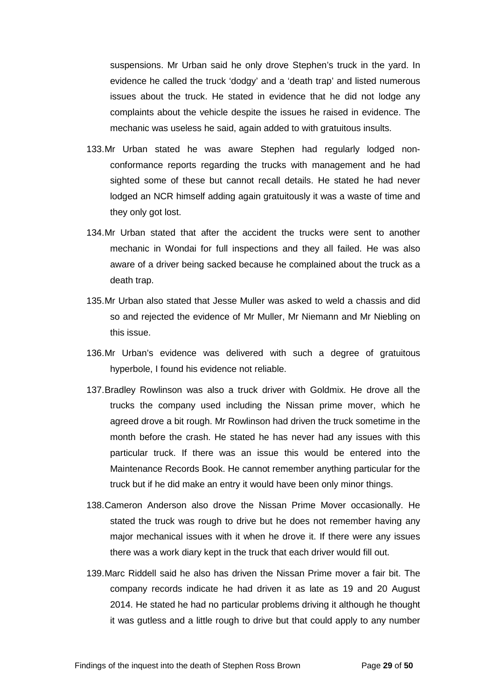suspensions. Mr Urban said he only drove Stephen's truck in the yard. In evidence he called the truck 'dodgy' and a 'death trap' and listed numerous issues about the truck. He stated in evidence that he did not lodge any complaints about the vehicle despite the issues he raised in evidence. The mechanic was useless he said, again added to with gratuitous insults.

- 133.Mr Urban stated he was aware Stephen had regularly lodged nonconformance reports regarding the trucks with management and he had sighted some of these but cannot recall details. He stated he had never lodged an NCR himself adding again gratuitously it was a waste of time and they only got lost.
- 134.Mr Urban stated that after the accident the trucks were sent to another mechanic in Wondai for full inspections and they all failed. He was also aware of a driver being sacked because he complained about the truck as a death trap.
- 135.Mr Urban also stated that Jesse Muller was asked to weld a chassis and did so and rejected the evidence of Mr Muller, Mr Niemann and Mr Niebling on this issue.
- 136.Mr Urban's evidence was delivered with such a degree of gratuitous hyperbole, I found his evidence not reliable.
- 137.Bradley Rowlinson was also a truck driver with Goldmix. He drove all the trucks the company used including the Nissan prime mover, which he agreed drove a bit rough. Mr Rowlinson had driven the truck sometime in the month before the crash. He stated he has never had any issues with this particular truck. If there was an issue this would be entered into the Maintenance Records Book. He cannot remember anything particular for the truck but if he did make an entry it would have been only minor things.
- 138.Cameron Anderson also drove the Nissan Prime Mover occasionally. He stated the truck was rough to drive but he does not remember having any major mechanical issues with it when he drove it. If there were any issues there was a work diary kept in the truck that each driver would fill out.
- 139.Marc Riddell said he also has driven the Nissan Prime mover a fair bit. The company records indicate he had driven it as late as 19 and 20 August 2014. He stated he had no particular problems driving it although he thought it was gutless and a little rough to drive but that could apply to any number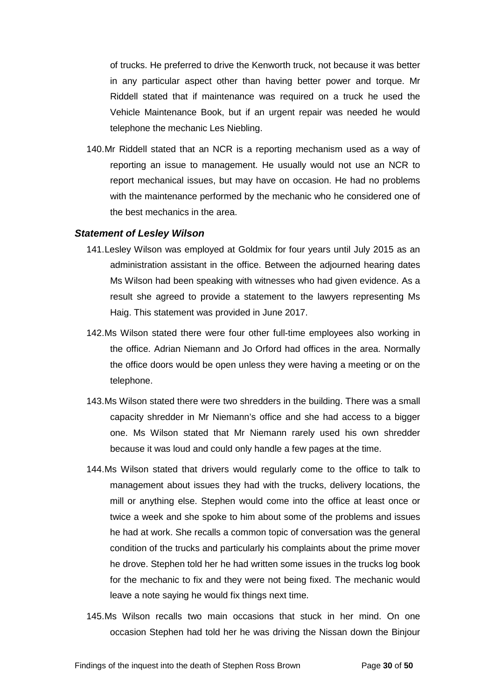of trucks. He preferred to drive the Kenworth truck, not because it was better in any particular aspect other than having better power and torque. Mr Riddell stated that if maintenance was required on a truck he used the Vehicle Maintenance Book, but if an urgent repair was needed he would telephone the mechanic Les Niebling.

140.Mr Riddell stated that an NCR is a reporting mechanism used as a way of reporting an issue to management. He usually would not use an NCR to report mechanical issues, but may have on occasion. He had no problems with the maintenance performed by the mechanic who he considered one of the best mechanics in the area.

#### <span id="page-31-0"></span>*Statement of Lesley Wilson*

- 141.Lesley Wilson was employed at Goldmix for four years until July 2015 as an administration assistant in the office. Between the adjourned hearing dates Ms Wilson had been speaking with witnesses who had given evidence. As a result she agreed to provide a statement to the lawyers representing Ms Haig. This statement was provided in June 2017.
- 142.Ms Wilson stated there were four other full-time employees also working in the office. Adrian Niemann and Jo Orford had offices in the area. Normally the office doors would be open unless they were having a meeting or on the telephone.
- 143.Ms Wilson stated there were two shredders in the building. There was a small capacity shredder in Mr Niemann's office and she had access to a bigger one. Ms Wilson stated that Mr Niemann rarely used his own shredder because it was loud and could only handle a few pages at the time.
- 144.Ms Wilson stated that drivers would regularly come to the office to talk to management about issues they had with the trucks, delivery locations, the mill or anything else. Stephen would come into the office at least once or twice a week and she spoke to him about some of the problems and issues he had at work. She recalls a common topic of conversation was the general condition of the trucks and particularly his complaints about the prime mover he drove. Stephen told her he had written some issues in the trucks log book for the mechanic to fix and they were not being fixed. The mechanic would leave a note saying he would fix things next time.
- 145.Ms Wilson recalls two main occasions that stuck in her mind. On one occasion Stephen had told her he was driving the Nissan down the Binjour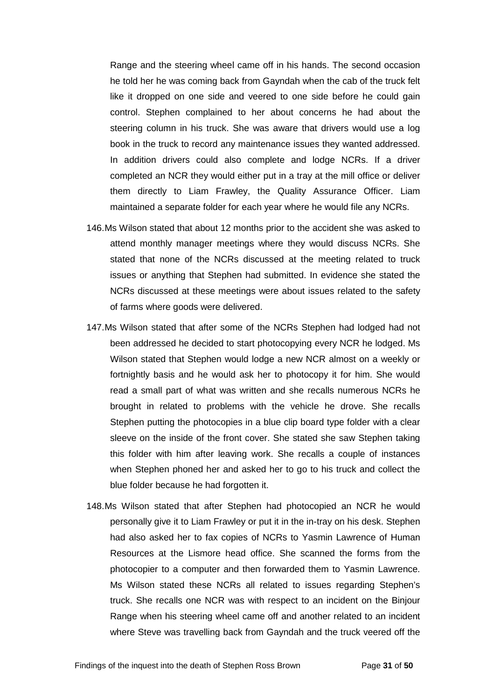Range and the steering wheel came off in his hands. The second occasion he told her he was coming back from Gayndah when the cab of the truck felt like it dropped on one side and veered to one side before he could gain control. Stephen complained to her about concerns he had about the steering column in his truck. She was aware that drivers would use a log book in the truck to record any maintenance issues they wanted addressed. In addition drivers could also complete and lodge NCRs. If a driver completed an NCR they would either put in a tray at the mill office or deliver them directly to Liam Frawley, the Quality Assurance Officer. Liam maintained a separate folder for each year where he would file any NCRs.

- 146.Ms Wilson stated that about 12 months prior to the accident she was asked to attend monthly manager meetings where they would discuss NCRs. She stated that none of the NCRs discussed at the meeting related to truck issues or anything that Stephen had submitted. In evidence she stated the NCRs discussed at these meetings were about issues related to the safety of farms where goods were delivered.
- 147.Ms Wilson stated that after some of the NCRs Stephen had lodged had not been addressed he decided to start photocopying every NCR he lodged. Ms Wilson stated that Stephen would lodge a new NCR almost on a weekly or fortnightly basis and he would ask her to photocopy it for him. She would read a small part of what was written and she recalls numerous NCRs he brought in related to problems with the vehicle he drove. She recalls Stephen putting the photocopies in a blue clip board type folder with a clear sleeve on the inside of the front cover. She stated she saw Stephen taking this folder with him after leaving work. She recalls a couple of instances when Stephen phoned her and asked her to go to his truck and collect the blue folder because he had forgotten it.
- 148.Ms Wilson stated that after Stephen had photocopied an NCR he would personally give it to Liam Frawley or put it in the in-tray on his desk. Stephen had also asked her to fax copies of NCRs to Yasmin Lawrence of Human Resources at the Lismore head office. She scanned the forms from the photocopier to a computer and then forwarded them to Yasmin Lawrence. Ms Wilson stated these NCRs all related to issues regarding Stephen's truck. She recalls one NCR was with respect to an incident on the Binjour Range when his steering wheel came off and another related to an incident where Steve was travelling back from Gayndah and the truck veered off the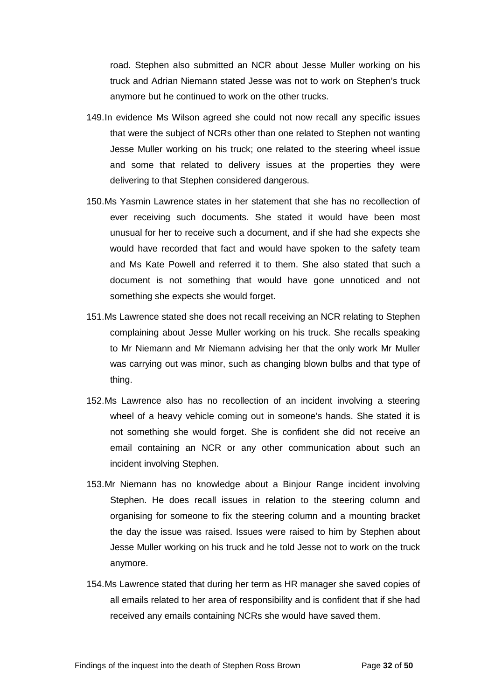road. Stephen also submitted an NCR about Jesse Muller working on his truck and Adrian Niemann stated Jesse was not to work on Stephen's truck anymore but he continued to work on the other trucks.

- 149.In evidence Ms Wilson agreed she could not now recall any specific issues that were the subject of NCRs other than one related to Stephen not wanting Jesse Muller working on his truck; one related to the steering wheel issue and some that related to delivery issues at the properties they were delivering to that Stephen considered dangerous.
- 150.Ms Yasmin Lawrence states in her statement that she has no recollection of ever receiving such documents. She stated it would have been most unusual for her to receive such a document, and if she had she expects she would have recorded that fact and would have spoken to the safety team and Ms Kate Powell and referred it to them. She also stated that such a document is not something that would have gone unnoticed and not something she expects she would forget.
- 151.Ms Lawrence stated she does not recall receiving an NCR relating to Stephen complaining about Jesse Muller working on his truck. She recalls speaking to Mr Niemann and Mr Niemann advising her that the only work Mr Muller was carrying out was minor, such as changing blown bulbs and that type of thing.
- 152.Ms Lawrence also has no recollection of an incident involving a steering wheel of a heavy vehicle coming out in someone's hands. She stated it is not something she would forget. She is confident she did not receive an email containing an NCR or any other communication about such an incident involving Stephen.
- 153.Mr Niemann has no knowledge about a Binjour Range incident involving Stephen. He does recall issues in relation to the steering column and organising for someone to fix the steering column and a mounting bracket the day the issue was raised. Issues were raised to him by Stephen about Jesse Muller working on his truck and he told Jesse not to work on the truck anymore.
- 154.Ms Lawrence stated that during her term as HR manager she saved copies of all emails related to her area of responsibility and is confident that if she had received any emails containing NCRs she would have saved them.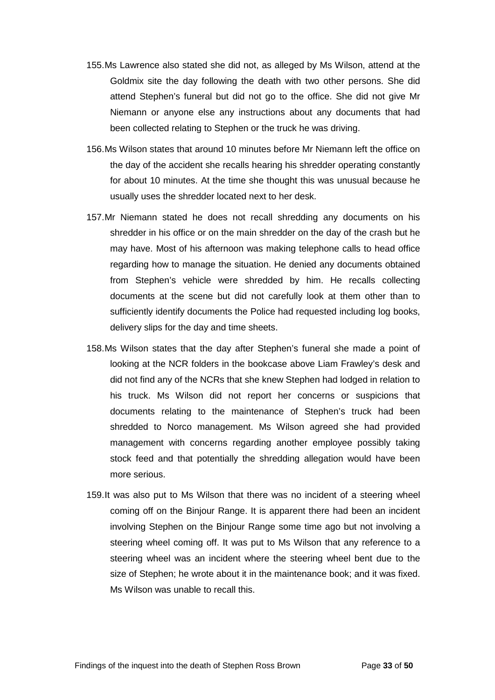- 155.Ms Lawrence also stated she did not, as alleged by Ms Wilson, attend at the Goldmix site the day following the death with two other persons. She did attend Stephen's funeral but did not go to the office. She did not give Mr Niemann or anyone else any instructions about any documents that had been collected relating to Stephen or the truck he was driving.
- 156.Ms Wilson states that around 10 minutes before Mr Niemann left the office on the day of the accident she recalls hearing his shredder operating constantly for about 10 minutes. At the time she thought this was unusual because he usually uses the shredder located next to her desk.
- 157.Mr Niemann stated he does not recall shredding any documents on his shredder in his office or on the main shredder on the day of the crash but he may have. Most of his afternoon was making telephone calls to head office regarding how to manage the situation. He denied any documents obtained from Stephen's vehicle were shredded by him. He recalls collecting documents at the scene but did not carefully look at them other than to sufficiently identify documents the Police had requested including log books, delivery slips for the day and time sheets.
- 158.Ms Wilson states that the day after Stephen's funeral she made a point of looking at the NCR folders in the bookcase above Liam Frawley's desk and did not find any of the NCRs that she knew Stephen had lodged in relation to his truck. Ms Wilson did not report her concerns or suspicions that documents relating to the maintenance of Stephen's truck had been shredded to Norco management. Ms Wilson agreed she had provided management with concerns regarding another employee possibly taking stock feed and that potentially the shredding allegation would have been more serious.
- 159.It was also put to Ms Wilson that there was no incident of a steering wheel coming off on the Binjour Range. It is apparent there had been an incident involving Stephen on the Binjour Range some time ago but not involving a steering wheel coming off. It was put to Ms Wilson that any reference to a steering wheel was an incident where the steering wheel bent due to the size of Stephen; he wrote about it in the maintenance book; and it was fixed. Ms Wilson was unable to recall this.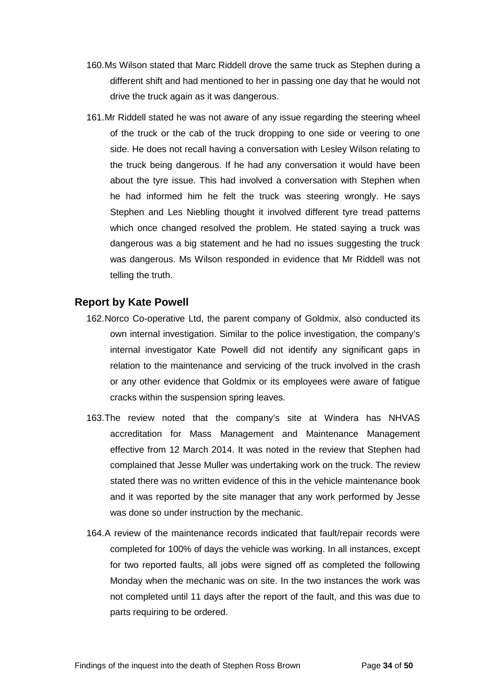- 160.Ms Wilson stated that Marc Riddell drove the same truck as Stephen during a different shift and had mentioned to her in passing one day that he would not drive the truck again as it was dangerous.
- 161.Mr Riddell stated he was not aware of any issue regarding the steering wheel of the truck or the cab of the truck dropping to one side or veering to one side. He does not recall having a conversation with Lesley Wilson relating to the truck being dangerous. If he had any conversation it would have been about the tyre issue. This had involved a conversation with Stephen when he had informed him he felt the truck was steering wrongly. He says Stephen and Les Niebling thought it involved different tyre tread patterns which once changed resolved the problem. He stated saying a truck was dangerous was a big statement and he had no issues suggesting the truck was dangerous. Ms Wilson responded in evidence that Mr Riddell was not telling the truth.

## <span id="page-35-0"></span>**Report by Kate Powell**

- 162.Norco Co-operative Ltd, the parent company of Goldmix, also conducted its own internal investigation. Similar to the police investigation, the company's internal investigator Kate Powell did not identify any significant gaps in relation to the maintenance and servicing of the truck involved in the crash or any other evidence that Goldmix or its employees were aware of fatigue cracks within the suspension spring leaves.
- 163.The review noted that the company's site at Windera has NHVAS accreditation for Mass Management and Maintenance Management effective from 12 March 2014. It was noted in the review that Stephen had complained that Jesse Muller was undertaking work on the truck. The review stated there was no written evidence of this in the vehicle maintenance book and it was reported by the site manager that any work performed by Jesse was done so under instruction by the mechanic.
- 164.A review of the maintenance records indicated that fault/repair records were completed for 100% of days the vehicle was working. In all instances, except for two reported faults, all jobs were signed off as completed the following Monday when the mechanic was on site. In the two instances the work was not completed until 11 days after the report of the fault, and this was due to parts requiring to be ordered.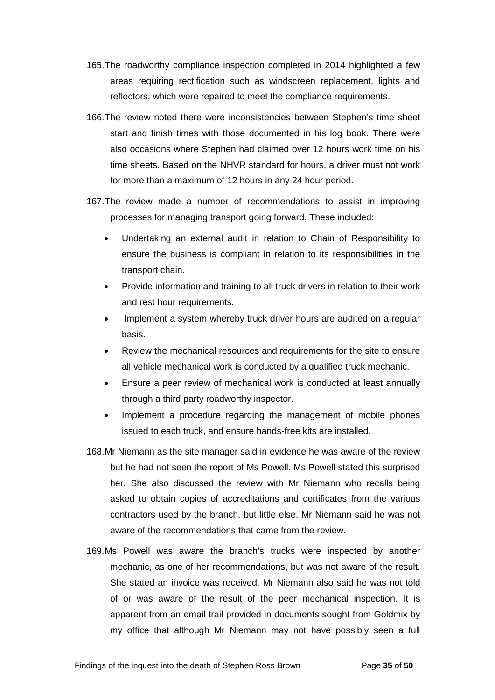- 165.The roadworthy compliance inspection completed in 2014 highlighted a few areas requiring rectification such as windscreen replacement, lights and reflectors, which were repaired to meet the compliance requirements.
- 166.The review noted there were inconsistencies between Stephen's time sheet start and finish times with those documented in his log book. There were also occasions where Stephen had claimed over 12 hours work time on his time sheets. Based on the NHVR standard for hours, a driver must not work for more than a maximum of 12 hours in any 24 hour period.
- 167.The review made a number of recommendations to assist in improving processes for managing transport going forward. These included:
	- Undertaking an external audit in relation to Chain of Responsibility to ensure the business is compliant in relation to its responsibilities in the transport chain.
	- Provide information and training to all truck drivers in relation to their work and rest hour requirements.
	- Implement a system whereby truck driver hours are audited on a regular basis.
	- Review the mechanical resources and requirements for the site to ensure all vehicle mechanical work is conducted by a qualified truck mechanic.
	- Ensure a peer review of mechanical work is conducted at least annually through a third party roadworthy inspector.
	- Implement a procedure regarding the management of mobile phones issued to each truck, and ensure hands-free kits are installed.
- 168.Mr Niemann as the site manager said in evidence he was aware of the review but he had not seen the report of Ms Powell. Ms Powell stated this surprised her. She also discussed the review with Mr Niemann who recalls being asked to obtain copies of accreditations and certificates from the various contractors used by the branch, but little else. Mr Niemann said he was not aware of the recommendations that came from the review.
- 169.Ms Powell was aware the branch's trucks were inspected by another mechanic, as one of her recommendations, but was not aware of the result. She stated an invoice was received. Mr Niemann also said he was not told of or was aware of the result of the peer mechanical inspection. It is apparent from an email trail provided in documents sought from Goldmix by my office that although Mr Niemann may not have possibly seen a full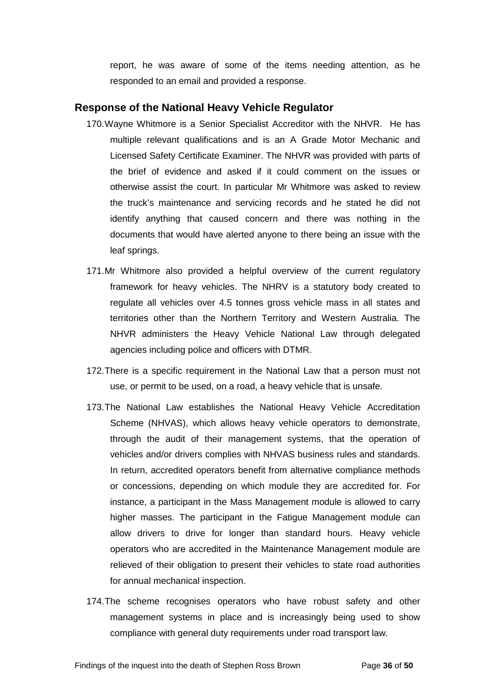report, he was aware of some of the items needing attention, as he responded to an email and provided a response.

#### <span id="page-37-0"></span>**Response of the National Heavy Vehicle Regulator**

- 170.Wayne Whitmore is a Senior Specialist Accreditor with the NHVR. He has multiple relevant qualifications and is an A Grade Motor Mechanic and Licensed Safety Certificate Examiner. The NHVR was provided with parts of the brief of evidence and asked if it could comment on the issues or otherwise assist the court. In particular Mr Whitmore was asked to review the truck's maintenance and servicing records and he stated he did not identify anything that caused concern and there was nothing in the documents that would have alerted anyone to there being an issue with the leaf springs.
- 171.Mr Whitmore also provided a helpful overview of the current regulatory framework for heavy vehicles. The NHRV is a statutory body created to regulate all vehicles over 4.5 tonnes gross vehicle mass in all states and territories other than the Northern Territory and Western Australia. The NHVR administers the Heavy Vehicle National Law through delegated agencies including police and officers with DTMR.
- 172.There is a specific requirement in the National Law that a person must not use, or permit to be used, on a road, a heavy vehicle that is unsafe.
- 173.The National Law establishes the National Heavy Vehicle Accreditation Scheme (NHVAS), which allows heavy vehicle operators to demonstrate, through the audit of their management systems, that the operation of vehicles and/or drivers complies with NHVAS business rules and standards. In return, accredited operators benefit from alternative compliance methods or concessions, depending on which module they are accredited for. For instance, a participant in the Mass Management module is allowed to carry higher masses. The participant in the Fatigue Management module can allow drivers to drive for longer than standard hours. Heavy vehicle operators who are accredited in the Maintenance Management module are relieved of their obligation to present their vehicles to state road authorities for annual mechanical inspection.
- 174.The scheme recognises operators who have robust safety and other management systems in place and is increasingly being used to show compliance with general duty requirements under road transport law.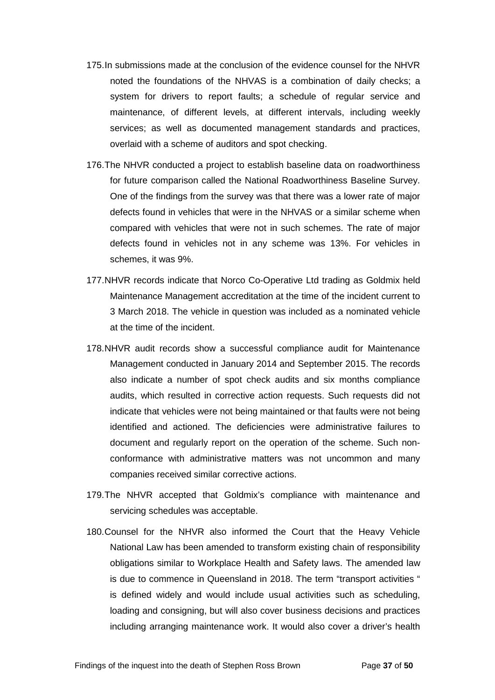- 175.In submissions made at the conclusion of the evidence counsel for the NHVR noted the foundations of the NHVAS is a combination of daily checks; a system for drivers to report faults; a schedule of regular service and maintenance, of different levels, at different intervals, including weekly services; as well as documented management standards and practices, overlaid with a scheme of auditors and spot checking.
- 176.The NHVR conducted a project to establish baseline data on roadworthiness for future comparison called the National Roadworthiness Baseline Survey. One of the findings from the survey was that there was a lower rate of major defects found in vehicles that were in the NHVAS or a similar scheme when compared with vehicles that were not in such schemes. The rate of major defects found in vehicles not in any scheme was 13%. For vehicles in schemes, it was 9%.
- 177.NHVR records indicate that Norco Co-Operative Ltd trading as Goldmix held Maintenance Management accreditation at the time of the incident current to 3 March 2018. The vehicle in question was included as a nominated vehicle at the time of the incident.
- 178.NHVR audit records show a successful compliance audit for Maintenance Management conducted in January 2014 and September 2015. The records also indicate a number of spot check audits and six months compliance audits, which resulted in corrective action requests. Such requests did not indicate that vehicles were not being maintained or that faults were not being identified and actioned. The deficiencies were administrative failures to document and regularly report on the operation of the scheme. Such nonconformance with administrative matters was not uncommon and many companies received similar corrective actions.
- 179.The NHVR accepted that Goldmix's compliance with maintenance and servicing schedules was acceptable.
- 180.Counsel for the NHVR also informed the Court that the Heavy Vehicle National Law has been amended to transform existing chain of responsibility obligations similar to Workplace Health and Safety laws. The amended law is due to commence in Queensland in 2018. The term "transport activities " is defined widely and would include usual activities such as scheduling, loading and consigning, but will also cover business decisions and practices including arranging maintenance work. It would also cover a driver's health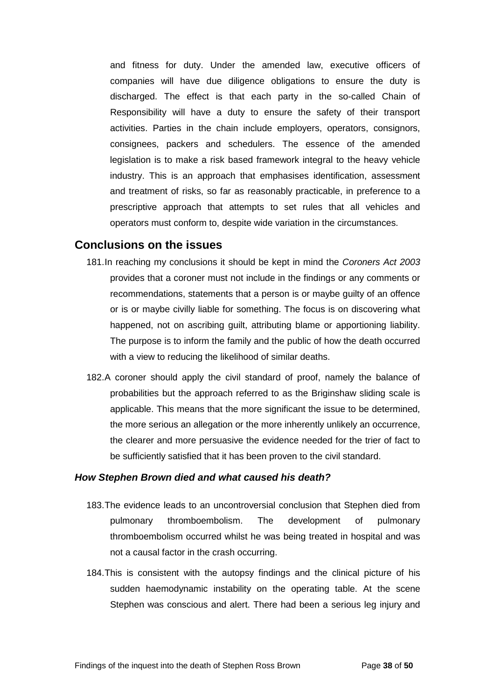and fitness for duty. Under the amended law, executive officers of companies will have due diligence obligations to ensure the duty is discharged. The effect is that each party in the so-called Chain of Responsibility will have a duty to ensure the safety of their transport activities. Parties in the chain include employers, operators, consignors, consignees, packers and schedulers. The essence of the amended legislation is to make a risk based framework integral to the heavy vehicle industry. This is an approach that emphasises identification, assessment and treatment of risks, so far as reasonably practicable, in preference to a prescriptive approach that attempts to set rules that all vehicles and operators must conform to, despite wide variation in the circumstances.

#### <span id="page-39-0"></span>**Conclusions on the issues**

- 181.In reaching my conclusions it should be kept in mind the *Coroners Act 2003* provides that a coroner must not include in the findings or any comments or recommendations, statements that a person is or maybe guilty of an offence or is or maybe civilly liable for something. The focus is on discovering what happened, not on ascribing guilt, attributing blame or apportioning liability. The purpose is to inform the family and the public of how the death occurred with a view to reducing the likelihood of similar deaths.
- 182.A coroner should apply the civil standard of proof, namely the balance of probabilities but the approach referred to as the Briginshaw sliding scale is applicable. This means that the more significant the issue to be determined, the more serious an allegation or the more inherently unlikely an occurrence, the clearer and more persuasive the evidence needed for the trier of fact to be sufficiently satisfied that it has been proven to the civil standard.

#### <span id="page-39-1"></span>*How Stephen Brown died and what caused his death?*

- 183.The evidence leads to an uncontroversial conclusion that Stephen died from pulmonary thromboembolism. The development of pulmonary thromboembolism occurred whilst he was being treated in hospital and was not a causal factor in the crash occurring.
- 184.This is consistent with the autopsy findings and the clinical picture of his sudden haemodynamic instability on the operating table. At the scene Stephen was conscious and alert. There had been a serious leg injury and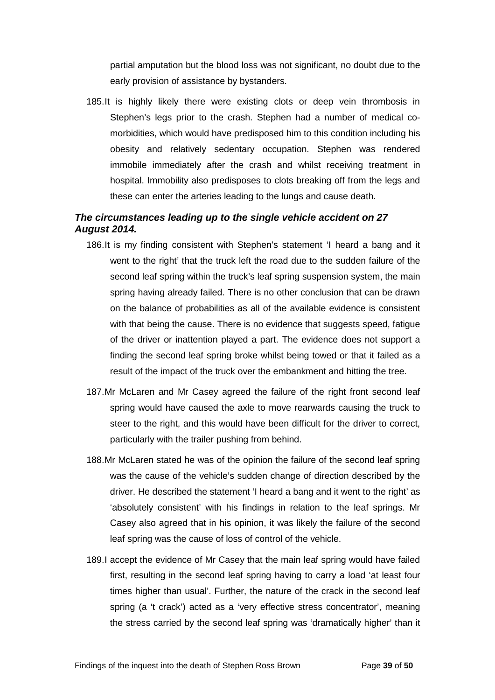partial amputation but the blood loss was not significant, no doubt due to the early provision of assistance by bystanders.

185.It is highly likely there were existing clots or deep vein thrombosis in Stephen's legs prior to the crash. Stephen had a number of medical comorbidities, which would have predisposed him to this condition including his obesity and relatively sedentary occupation. Stephen was rendered immobile immediately after the crash and whilst receiving treatment in hospital. Immobility also predisposes to clots breaking off from the legs and these can enter the arteries leading to the lungs and cause death.

### <span id="page-40-0"></span>*The circumstances leading up to the single vehicle accident on 27 August 2014.*

- 186.It is my finding consistent with Stephen's statement 'I heard a bang and it went to the right' that the truck left the road due to the sudden failure of the second leaf spring within the truck's leaf spring suspension system, the main spring having already failed. There is no other conclusion that can be drawn on the balance of probabilities as all of the available evidence is consistent with that being the cause. There is no evidence that suggests speed, fatigue of the driver or inattention played a part. The evidence does not support a finding the second leaf spring broke whilst being towed or that it failed as a result of the impact of the truck over the embankment and hitting the tree.
- 187.Mr McLaren and Mr Casey agreed the failure of the right front second leaf spring would have caused the axle to move rearwards causing the truck to steer to the right, and this would have been difficult for the driver to correct, particularly with the trailer pushing from behind.
- 188.Mr McLaren stated he was of the opinion the failure of the second leaf spring was the cause of the vehicle's sudden change of direction described by the driver. He described the statement 'I heard a bang and it went to the right' as 'absolutely consistent' with his findings in relation to the leaf springs. Mr Casey also agreed that in his opinion, it was likely the failure of the second leaf spring was the cause of loss of control of the vehicle.
- 189.I accept the evidence of Mr Casey that the main leaf spring would have failed first, resulting in the second leaf spring having to carry a load 'at least four times higher than usual'. Further, the nature of the crack in the second leaf spring (a 't crack') acted as a 'very effective stress concentrator', meaning the stress carried by the second leaf spring was 'dramatically higher' than it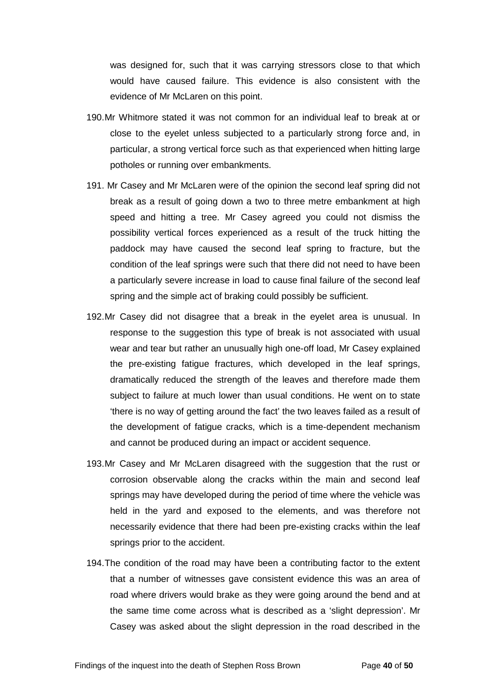was designed for, such that it was carrying stressors close to that which would have caused failure. This evidence is also consistent with the evidence of Mr McLaren on this point.

- 190.Mr Whitmore stated it was not common for an individual leaf to break at or close to the eyelet unless subjected to a particularly strong force and, in particular, a strong vertical force such as that experienced when hitting large potholes or running over embankments.
- 191. Mr Casey and Mr McLaren were of the opinion the second leaf spring did not break as a result of going down a two to three metre embankment at high speed and hitting a tree. Mr Casey agreed you could not dismiss the possibility vertical forces experienced as a result of the truck hitting the paddock may have caused the second leaf spring to fracture, but the condition of the leaf springs were such that there did not need to have been a particularly severe increase in load to cause final failure of the second leaf spring and the simple act of braking could possibly be sufficient.
- 192.Mr Casey did not disagree that a break in the eyelet area is unusual. In response to the suggestion this type of break is not associated with usual wear and tear but rather an unusually high one-off load, Mr Casey explained the pre-existing fatigue fractures, which developed in the leaf springs, dramatically reduced the strength of the leaves and therefore made them subject to failure at much lower than usual conditions. He went on to state 'there is no way of getting around the fact' the two leaves failed as a result of the development of fatigue cracks, which is a time-dependent mechanism and cannot be produced during an impact or accident sequence.
- 193.Mr Casey and Mr McLaren disagreed with the suggestion that the rust or corrosion observable along the cracks within the main and second leaf springs may have developed during the period of time where the vehicle was held in the yard and exposed to the elements, and was therefore not necessarily evidence that there had been pre-existing cracks within the leaf springs prior to the accident.
- 194.The condition of the road may have been a contributing factor to the extent that a number of witnesses gave consistent evidence this was an area of road where drivers would brake as they were going around the bend and at the same time come across what is described as a 'slight depression'. Mr Casey was asked about the slight depression in the road described in the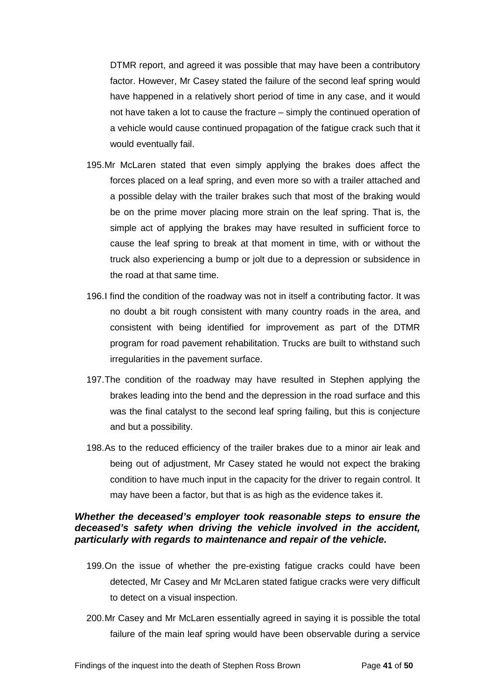DTMR report, and agreed it was possible that may have been a contributory factor. However, Mr Casey stated the failure of the second leaf spring would have happened in a relatively short period of time in any case, and it would not have taken a lot to cause the fracture – simply the continued operation of a vehicle would cause continued propagation of the fatigue crack such that it would eventually fail.

- 195.Mr McLaren stated that even simply applying the brakes does affect the forces placed on a leaf spring, and even more so with a trailer attached and a possible delay with the trailer brakes such that most of the braking would be on the prime mover placing more strain on the leaf spring. That is, the simple act of applying the brakes may have resulted in sufficient force to cause the leaf spring to break at that moment in time, with or without the truck also experiencing a bump or jolt due to a depression or subsidence in the road at that same time.
- 196.I find the condition of the roadway was not in itself a contributing factor. It was no doubt a bit rough consistent with many country roads in the area, and consistent with being identified for improvement as part of the DTMR program for road pavement rehabilitation. Trucks are built to withstand such irregularities in the pavement surface.
- 197.The condition of the roadway may have resulted in Stephen applying the brakes leading into the bend and the depression in the road surface and this was the final catalyst to the second leaf spring failing, but this is conjecture and but a possibility.
- 198.As to the reduced efficiency of the trailer brakes due to a minor air leak and being out of adjustment, Mr Casey stated he would not expect the braking condition to have much input in the capacity for the driver to regain control. It may have been a factor, but that is as high as the evidence takes it.

#### <span id="page-42-0"></span>*Whether the deceased's employer took reasonable steps to ensure the deceased's safety when driving the vehicle involved in the accident, particularly with regards to maintenance and repair of the vehicle.*

- 199.On the issue of whether the pre-existing fatigue cracks could have been detected, Mr Casey and Mr McLaren stated fatigue cracks were very difficult to detect on a visual inspection.
- 200.Mr Casey and Mr McLaren essentially agreed in saying it is possible the total failure of the main leaf spring would have been observable during a service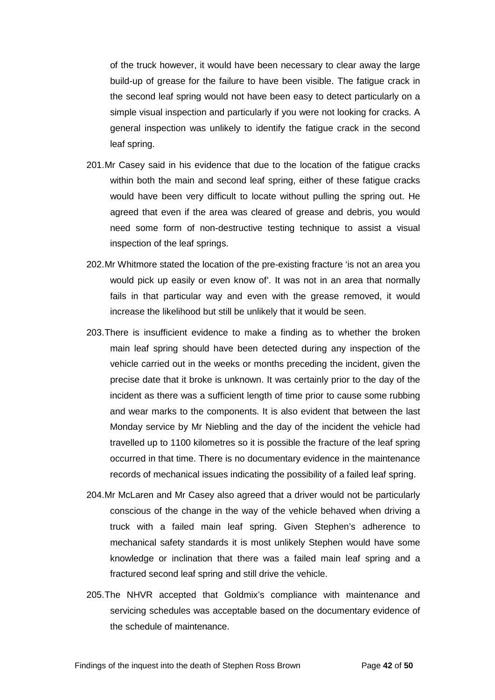of the truck however, it would have been necessary to clear away the large build-up of grease for the failure to have been visible. The fatigue crack in the second leaf spring would not have been easy to detect particularly on a simple visual inspection and particularly if you were not looking for cracks. A general inspection was unlikely to identify the fatigue crack in the second leaf spring.

- 201.Mr Casey said in his evidence that due to the location of the fatigue cracks within both the main and second leaf spring, either of these fatigue cracks would have been very difficult to locate without pulling the spring out. He agreed that even if the area was cleared of grease and debris, you would need some form of non-destructive testing technique to assist a visual inspection of the leaf springs.
- 202.Mr Whitmore stated the location of the pre-existing fracture 'is not an area you would pick up easily or even know of'. It was not in an area that normally fails in that particular way and even with the grease removed, it would increase the likelihood but still be unlikely that it would be seen.
- 203.There is insufficient evidence to make a finding as to whether the broken main leaf spring should have been detected during any inspection of the vehicle carried out in the weeks or months preceding the incident, given the precise date that it broke is unknown. It was certainly prior to the day of the incident as there was a sufficient length of time prior to cause some rubbing and wear marks to the components. It is also evident that between the last Monday service by Mr Niebling and the day of the incident the vehicle had travelled up to 1100 kilometres so it is possible the fracture of the leaf spring occurred in that time. There is no documentary evidence in the maintenance records of mechanical issues indicating the possibility of a failed leaf spring.
- 204.Mr McLaren and Mr Casey also agreed that a driver would not be particularly conscious of the change in the way of the vehicle behaved when driving a truck with a failed main leaf spring. Given Stephen's adherence to mechanical safety standards it is most unlikely Stephen would have some knowledge or inclination that there was a failed main leaf spring and a fractured second leaf spring and still drive the vehicle.
- 205.The NHVR accepted that Goldmix's compliance with maintenance and servicing schedules was acceptable based on the documentary evidence of the schedule of maintenance.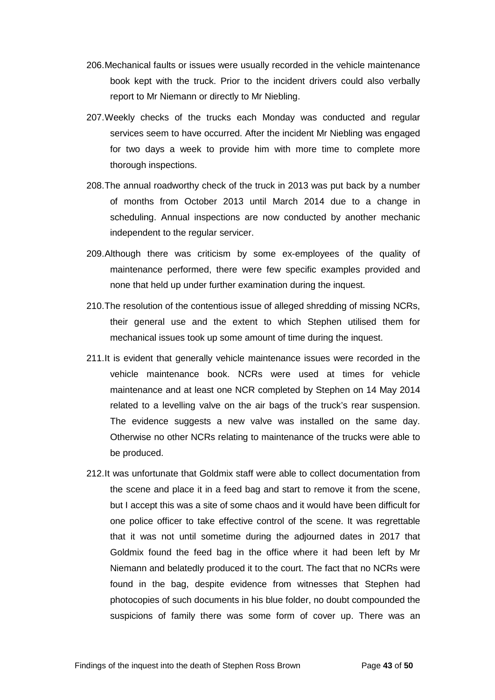- 206.Mechanical faults or issues were usually recorded in the vehicle maintenance book kept with the truck. Prior to the incident drivers could also verbally report to Mr Niemann or directly to Mr Niebling.
- 207.Weekly checks of the trucks each Monday was conducted and regular services seem to have occurred. After the incident Mr Niebling was engaged for two days a week to provide him with more time to complete more thorough inspections.
- 208.The annual roadworthy check of the truck in 2013 was put back by a number of months from October 2013 until March 2014 due to a change in scheduling. Annual inspections are now conducted by another mechanic independent to the regular servicer.
- 209.Although there was criticism by some ex-employees of the quality of maintenance performed, there were few specific examples provided and none that held up under further examination during the inquest.
- 210.The resolution of the contentious issue of alleged shredding of missing NCRs, their general use and the extent to which Stephen utilised them for mechanical issues took up some amount of time during the inquest.
- 211.It is evident that generally vehicle maintenance issues were recorded in the vehicle maintenance book. NCRs were used at times for vehicle maintenance and at least one NCR completed by Stephen on 14 May 2014 related to a levelling valve on the air bags of the truck's rear suspension. The evidence suggests a new valve was installed on the same day. Otherwise no other NCRs relating to maintenance of the trucks were able to be produced.
- 212.It was unfortunate that Goldmix staff were able to collect documentation from the scene and place it in a feed bag and start to remove it from the scene, but I accept this was a site of some chaos and it would have been difficult for one police officer to take effective control of the scene. It was regrettable that it was not until sometime during the adjourned dates in 2017 that Goldmix found the feed bag in the office where it had been left by Mr Niemann and belatedly produced it to the court. The fact that no NCRs were found in the bag, despite evidence from witnesses that Stephen had photocopies of such documents in his blue folder, no doubt compounded the suspicions of family there was some form of cover up. There was an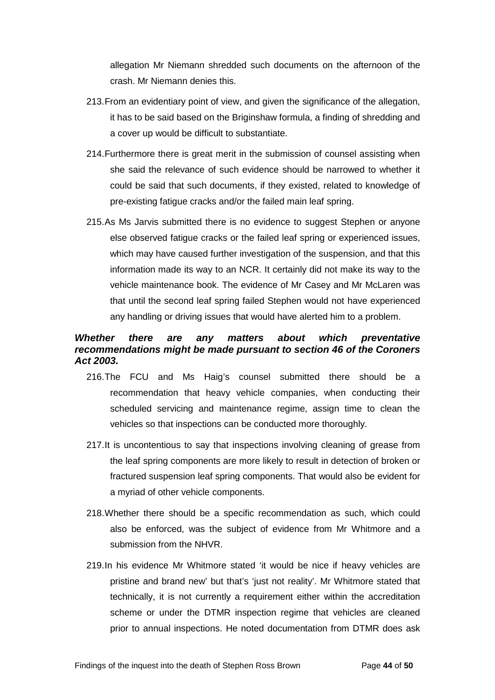allegation Mr Niemann shredded such documents on the afternoon of the crash. Mr Niemann denies this.

- 213.From an evidentiary point of view, and given the significance of the allegation, it has to be said based on the Briginshaw formula, a finding of shredding and a cover up would be difficult to substantiate.
- 214.Furthermore there is great merit in the submission of counsel assisting when she said the relevance of such evidence should be narrowed to whether it could be said that such documents, if they existed, related to knowledge of pre-existing fatigue cracks and/or the failed main leaf spring.
- 215.As Ms Jarvis submitted there is no evidence to suggest Stephen or anyone else observed fatigue cracks or the failed leaf spring or experienced issues, which may have caused further investigation of the suspension, and that this information made its way to an NCR. It certainly did not make its way to the vehicle maintenance book. The evidence of Mr Casey and Mr McLaren was that until the second leaf spring failed Stephen would not have experienced any handling or driving issues that would have alerted him to a problem.

#### <span id="page-45-0"></span>*Whether there are any matters about which preventative recommendations might be made pursuant to section 46 of the Coroners Act 2003.*

- 216.The FCU and Ms Haig's counsel submitted there should be a recommendation that heavy vehicle companies, when conducting their scheduled servicing and maintenance regime, assign time to clean the vehicles so that inspections can be conducted more thoroughly.
- 217.It is uncontentious to say that inspections involving cleaning of grease from the leaf spring components are more likely to result in detection of broken or fractured suspension leaf spring components. That would also be evident for a myriad of other vehicle components.
- 218.Whether there should be a specific recommendation as such, which could also be enforced, was the subject of evidence from Mr Whitmore and a submission from the NHVR.
- 219.In his evidence Mr Whitmore stated 'it would be nice if heavy vehicles are pristine and brand new' but that's 'just not reality'. Mr Whitmore stated that technically, it is not currently a requirement either within the accreditation scheme or under the DTMR inspection regime that vehicles are cleaned prior to annual inspections. He noted documentation from DTMR does ask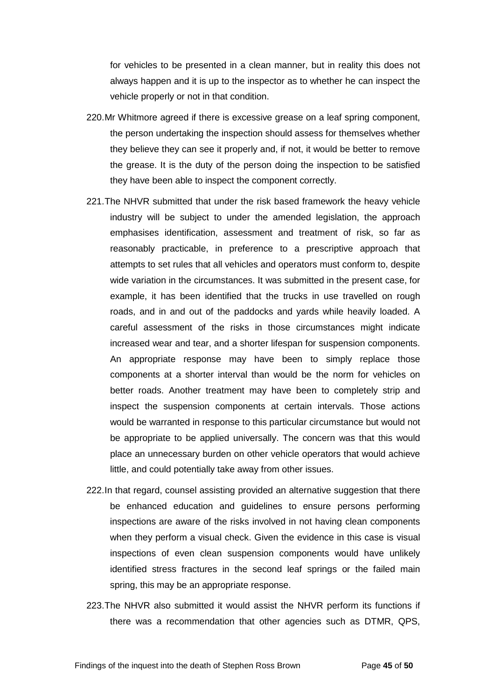for vehicles to be presented in a clean manner, but in reality this does not always happen and it is up to the inspector as to whether he can inspect the vehicle properly or not in that condition.

- 220.Mr Whitmore agreed if there is excessive grease on a leaf spring component, the person undertaking the inspection should assess for themselves whether they believe they can see it properly and, if not, it would be better to remove the grease. It is the duty of the person doing the inspection to be satisfied they have been able to inspect the component correctly.
- 221.The NHVR submitted that under the risk based framework the heavy vehicle industry will be subject to under the amended legislation, the approach emphasises identification, assessment and treatment of risk, so far as reasonably practicable, in preference to a prescriptive approach that attempts to set rules that all vehicles and operators must conform to, despite wide variation in the circumstances. It was submitted in the present case, for example, it has been identified that the trucks in use travelled on rough roads, and in and out of the paddocks and yards while heavily loaded. A careful assessment of the risks in those circumstances might indicate increased wear and tear, and a shorter lifespan for suspension components. An appropriate response may have been to simply replace those components at a shorter interval than would be the norm for vehicles on better roads. Another treatment may have been to completely strip and inspect the suspension components at certain intervals. Those actions would be warranted in response to this particular circumstance but would not be appropriate to be applied universally. The concern was that this would place an unnecessary burden on other vehicle operators that would achieve little, and could potentially take away from other issues.
- 222.In that regard, counsel assisting provided an alternative suggestion that there be enhanced education and guidelines to ensure persons performing inspections are aware of the risks involved in not having clean components when they perform a visual check. Given the evidence in this case is visual inspections of even clean suspension components would have unlikely identified stress fractures in the second leaf springs or the failed main spring, this may be an appropriate response.
- 223.The NHVR also submitted it would assist the NHVR perform its functions if there was a recommendation that other agencies such as DTMR, QPS,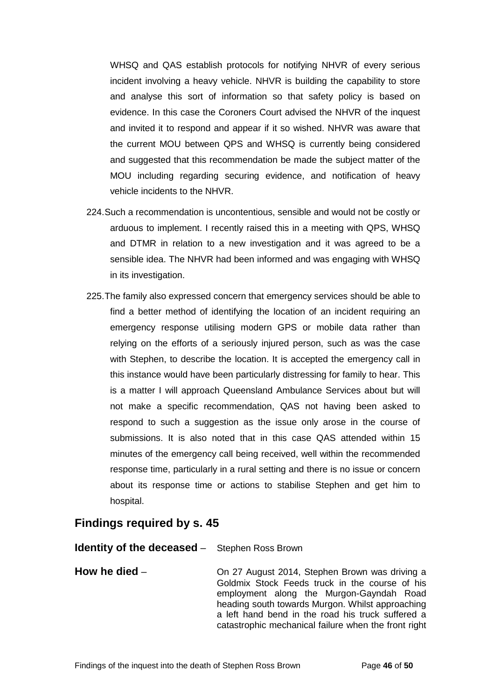WHSQ and QAS establish protocols for notifying NHVR of every serious incident involving a heavy vehicle. NHVR is building the capability to store and analyse this sort of information so that safety policy is based on evidence. In this case the Coroners Court advised the NHVR of the inquest and invited it to respond and appear if it so wished. NHVR was aware that the current MOU between QPS and WHSQ is currently being considered and suggested that this recommendation be made the subject matter of the MOU including regarding securing evidence, and notification of heavy vehicle incidents to the NHVR.

- 224.Such a recommendation is uncontentious, sensible and would not be costly or arduous to implement. I recently raised this in a meeting with QPS, WHSQ and DTMR in relation to a new investigation and it was agreed to be a sensible idea. The NHVR had been informed and was engaging with WHSQ in its investigation.
- 225.The family also expressed concern that emergency services should be able to find a better method of identifying the location of an incident requiring an emergency response utilising modern GPS or mobile data rather than relying on the efforts of a seriously injured person, such as was the case with Stephen, to describe the location. It is accepted the emergency call in this instance would have been particularly distressing for family to hear. This is a matter I will approach Queensland Ambulance Services about but will not make a specific recommendation, QAS not having been asked to respond to such a suggestion as the issue only arose in the course of submissions. It is also noted that in this case QAS attended within 15 minutes of the emergency call being received, well within the recommended response time, particularly in a rural setting and there is no issue or concern about its response time or actions to stabilise Stephen and get him to hospital.

## <span id="page-47-0"></span>**Findings required by s. 45**

#### <span id="page-47-1"></span>**Identity of the deceased** – Stephen Ross Brown

<span id="page-47-2"></span>**How he died** – **On 27 August 2014, Stephen Brown was driving a** Goldmix Stock Feeds truck in the course of his employment along the Murgon-Gayndah Road heading south towards Murgon. Whilst approaching a left hand bend in the road his truck suffered a catastrophic mechanical failure when the front right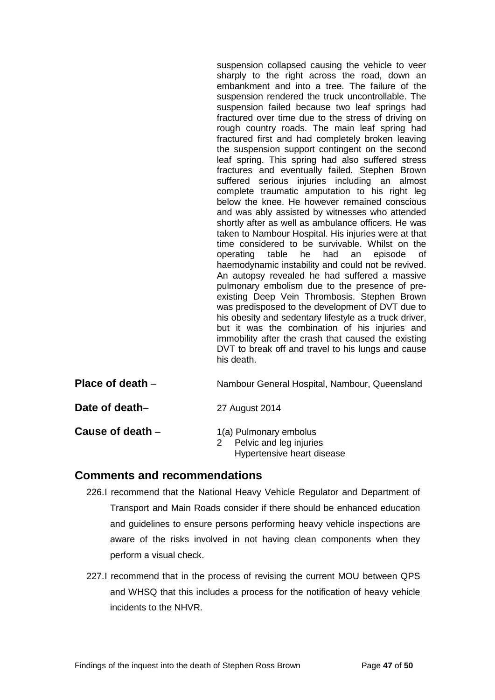suspension collapsed causing the vehicle to veer sharply to the right across the road, down an embankment and into a tree. The failure of the suspension rendered the truck uncontrollable. The suspension failed because two leaf springs had fractured over time due to the stress of driving on rough country roads. The main leaf spring had fractured first and had completely broken leaving the suspension support contingent on the second leaf spring. This spring had also suffered stress fractures and eventually failed. Stephen Brown suffered serious injuries including an almost complete traumatic amputation to his right leg below the knee. He however remained conscious and was ably assisted by witnesses who attended shortly after as well as ambulance officers. He was taken to Nambour Hospital. His injuries were at that time considered to be survivable. Whilst on the operating table he had an episode of haemodynamic instability and could not be revived. An autopsy revealed he had suffered a massive pulmonary embolism due to the presence of preexisting Deep Vein Thrombosis. Stephen Brown was predisposed to the development of DVT due to his obesity and sedentary lifestyle as a truck driver, but it was the combination of his injuries and immobility after the crash that caused the existing DVT to break off and travel to his lungs and cause his death.

<span id="page-48-0"></span>

| Place of death $-$ | Nambour General Hospital, Nambour, Queensland |
|--------------------|-----------------------------------------------|
|--------------------|-----------------------------------------------|

<span id="page-48-1"></span>**Date of death–** 27 August 2014

<span id="page-48-2"></span>

| Cause of death - | 1(a) Pulmonary embolus |
|------------------|------------------------|
|------------------|------------------------|

2 Pelvic and leg injuries Hypertensive heart disease

## <span id="page-48-3"></span>**Comments and recommendations**

- 226.I recommend that the National Heavy Vehicle Regulator and Department of Transport and Main Roads consider if there should be enhanced education and guidelines to ensure persons performing heavy vehicle inspections are aware of the risks involved in not having clean components when they perform a visual check.
- 227.I recommend that in the process of revising the current MOU between QPS and WHSQ that this includes a process for the notification of heavy vehicle incidents to the NHVR.